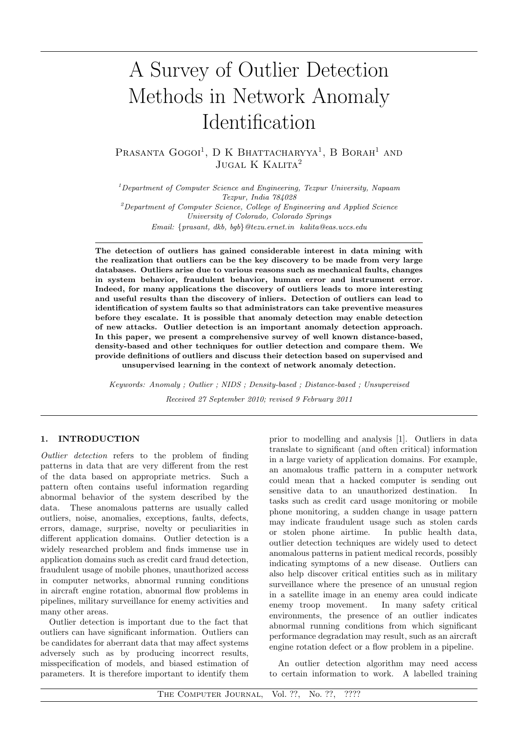# A Survey of Outlier Detection Methods in Network Anomaly Identification

PRASANTA GOGOI<sup>1</sup>, D K BHATTACHARYYA<sup>1</sup>, B BORAH<sup>1</sup> AND  $\rm JUGAL$ K Kalita $^2$ 

*<sup>1</sup>Department of Computer Science and Engineering, Tezpur University, Napaam Tezpur, India 784028 <sup>2</sup>Department of Computer Science, College of Engineering and Applied Science University of Colorado, Colorado Springs Email: {prasant, dkb, bgb}@tezu.ernet.in kalita@eas.uccs.edu*

The detection of outliers has gained considerable interest in data mining with the realization that outliers can be the key discovery to be made from very large databases. Outliers arise due to various reasons such as mechanical faults, changes in system behavior, fraudulent behavior, human error and instrument error. Indeed, for many applications the discovery of outliers leads to more interesting and useful results than the discovery of inliers. Detection of outliers can lead to identification of system faults so that administrators can take preventive measures before they escalate. It is possible that anomaly detection may enable detection of new attacks. Outlier detection is an important anomaly detection approach. In this paper, we present a comprehensive survey of well known distance-based, density-based and other techniques for outlier detection and compare them. We provide definitions of outliers and discuss their detection based on supervised and unsupervised learning in the context of network anomaly detection.

*Keywords: Anomaly ; Outlier ; NIDS ; Density-based ; Distance-based ; Unsupervised Received 27 September 2010; revised 9 February 2011*

## 1. INTRODUCTION

*Outlier detection* refers to the problem of finding patterns in data that are very different from the rest of the data based on appropriate metrics. Such a pattern often contains useful information regarding abnormal behavior of the system described by the data. These anomalous patterns are usually called outliers, noise, anomalies, exceptions, faults, defects, errors, damage, surprise, novelty or peculiarities in different application domains. Outlier detection is a widely researched problem and finds immense use in application domains such as credit card fraud detection, fraudulent usage of mobile phones, unauthorized access in computer networks, abnormal running conditions in aircraft engine rotation, abnormal flow problems in pipelines, military surveillance for enemy activities and many other areas.

Outlier detection is important due to the fact that outliers can have significant information. Outliers can be candidates for aberrant data that may affect systems adversely such as by producing incorrect results, misspecification of models, and biased estimation of parameters. It is therefore important to identify them

prior to modelling and analysis [1]. Outliers in data translate to significant (and often critical) information in a large variety of application domains. For example, an anomalous traffic pattern in a computer network could mean that a hacked computer is sending out sensitive data to an unauthorized destination. In tasks such as credit card usage monitoring or mobile phone monitoring, a sudden change in usage pattern may indicate fraudulent usage such as stolen cards or stolen phone airtime. In public health data, outlier detection techniques are widely used to detect anomalous patterns in patient medical records, possibly indicating symptoms of a new disease. Outliers can also help discover critical entities such as in military surveillance where the presence of an unusual region in a satellite image in an enemy area could indicate enemy troop movement. In many safety critical environments, the presence of an outlier indicates abnormal running conditions from which significant performance degradation may result, such as an aircraft engine rotation defect or a flow problem in a pipeline.

An outlier detection algorithm may need access to certain information to work. A labelled training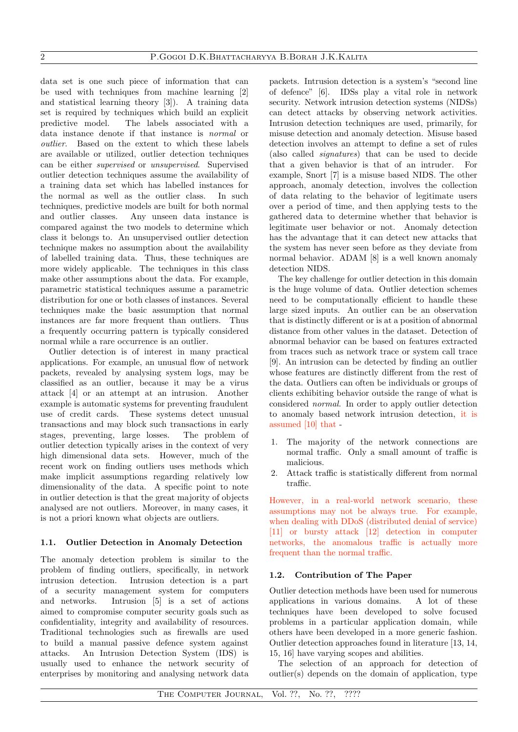data set is one such piece of information that can be used with techniques from machine learning [2] and statistical learning theory [3]). A training data set is required by techniques which build an explicit predictive model. The labels associated with a data instance denote if that instance is *normal* or *outlier*. Based on the extent to which these labels are available or utilized, outlier detection techniques can be either *supervised* or *unsupervised*. Supervised outlier detection techniques assume the availability of a training data set which has labelled instances for the normal as well as the outlier class. In such techniques, predictive models are built for both normal and outlier classes. Any unseen data instance is compared against the two models to determine which class it belongs to. An unsupervised outlier detection technique makes no assumption about the availability of labelled training data. Thus, these techniques are more widely applicable. The techniques in this class make other assumptions about the data. For example, parametric statistical techniques assume a parametric distribution for one or both classes of instances. Several techniques make the basic assumption that normal instances are far more frequent than outliers. Thus a frequently occurring pattern is typically considered normal while a rare occurrence is an outlier.

Outlier detection is of interest in many practical applications. For example, an unusual flow of network packets, revealed by analysing system logs, may be classified as an outlier, because it may be a virus attack [4] or an attempt at an intrusion. Another example is automatic systems for preventing fraudulent use of credit cards. These systems detect unusual transactions and may block such transactions in early stages, preventing, large losses. The problem of outlier detection typically arises in the context of very high dimensional data sets. However, much of the recent work on finding outliers uses methods which make implicit assumptions regarding relatively low dimensionality of the data. A specific point to note in outlier detection is that the great majority of objects analysed are not outliers. Moreover, in many cases, it is not a priori known what objects are outliers.

# 1.1. Outlier Detection in Anomaly Detection

The anomaly detection problem is similar to the problem of finding outliers, specifically, in network intrusion detection. Intrusion detection is a part of a security management system for computers and networks. Intrusion [5] is a set of actions aimed to compromise computer security goals such as confidentiality, integrity and availability of resources. Traditional technologies such as firewalls are used to build a manual passive defence system against attacks. An Intrusion Detection System (IDS) is usually used to enhance the network security of enterprises by monitoring and analysing network data

packets. Intrusion detection is a system's "second line of defence" [6]. IDSs play a vital role in network security. Network intrusion detection systems (NIDSs) can detect attacks by observing network activities. Intrusion detection techniques are used, primarily, for misuse detection and anomaly detection. Misuse based detection involves an attempt to define a set of rules (also called *signatures*) that can be used to decide that a given behavior is that of an intruder. For example, Snort [7] is a misuse based NIDS. The other approach, anomaly detection, involves the collection of data relating to the behavior of legitimate users over a period of time, and then applying tests to the gathered data to determine whether that behavior is legitimate user behavior or not. Anomaly detection has the advantage that it can detect new attacks that the system has never seen before as they deviate from normal behavior. ADAM [8] is a well known anomaly detection NIDS.

The key challenge for outlier detection in this domain is the huge volume of data. Outlier detection schemes need to be computationally efficient to handle these large sized inputs. An outlier can be an observation that is distinctly different or is at a position of abnormal distance from other values in the dataset. Detection of abnormal behavior can be based on features extracted from traces such as network trace or system call trace [9]. An intrusion can be detected by finding an outlier whose features are distinctly different from the rest of the data. Outliers can often be individuals or groups of clients exhibiting behavior outside the range of what is considered *normal*. In order to apply outlier detection to anomaly based network intrusion detection, it is assumed [10] that -

- 1. The majority of the network connections are normal traffic. Only a small amount of traffic is malicious.
- 2. Attack traffic is statistically different from normal traffic.

However, in a real-world network scenario, these assumptions may not be always true. For example, when dealing with DDoS (distributed denial of service) [11] or bursty attack [12] detection in computer networks, the anomalous traffic is actually more frequent than the normal traffic.

# 1.2. Contribution of The Paper

Outlier detection methods have been used for numerous applications in various domains. A lot of these techniques have been developed to solve focused problems in a particular application domain, while others have been developed in a more generic fashion. Outlier detection approaches found in literature [13, 14, 15, 16] have varying scopes and abilities.

The selection of an approach for detection of outlier(s) depends on the domain of application, type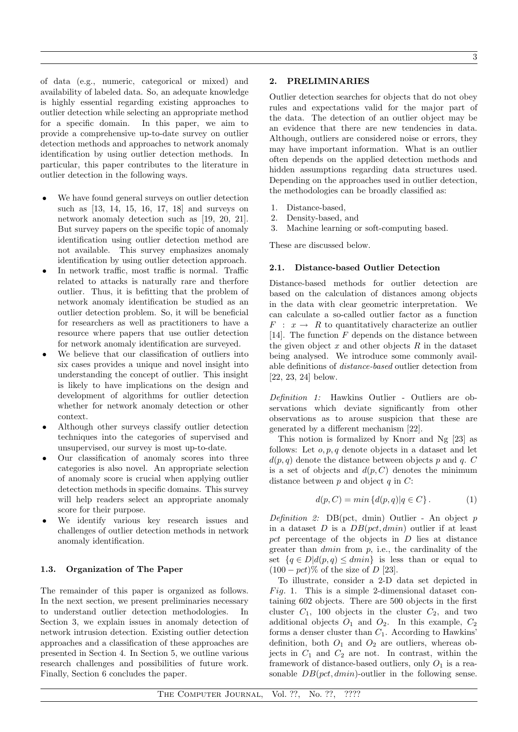of data (e.g., numeric, categorical or mixed) and availability of labeled data. So, an adequate knowledge is highly essential regarding existing approaches to outlier detection while selecting an appropriate method for a specific domain. In this paper, we aim to provide a comprehensive up-to-date survey on outlier detection methods and approaches to network anomaly identification by using outlier detection methods. In particular, this paper contributes to the literature in outlier detection in the following ways.

- We have found general surveys on outlier detection such as [13, 14, 15, 16, 17, 18] and surveys on network anomaly detection such as [19, 20, 21]. But survey papers on the specific topic of anomaly identification using outlier detection method are not available. This survey emphasizes anomaly identification by using outlier detection approach.
- In network traffic, most traffic is normal. Traffic related to attacks is naturally rare and therfore outlier. Thus, it is befitting that the problem of network anomaly identification be studied as an outlier detection problem. So, it will be beneficial for researchers as well as practitioners to have a resource where papers that use outlier detection for network anomaly identification are surveyed.
- We believe that our classification of outliers into six cases provides a unique and novel insight into understanding the concept of outlier. This insight is likely to have implications on the design and development of algorithms for outlier detection whether for network anomaly detection or other context.
- *•* Although other surveys classify outlier detection techniques into the categories of supervised and unsupervised, our survey is most up-to-date.
- *•* Our classification of anomaly scores into three categories is also novel. An appropriate selection of anomaly score is crucial when applying outlier detection methods in specific domains. This survey will help readers select an appropriate anomaly score for their purpose.
- We identify various key research issues and challenges of outlier detection methods in network anomaly identification.

# 1.3. Organization of The Paper

The remainder of this paper is organized as follows. In the next section, we present preliminaries necessary to understand outlier detection methodologies. In Section 3, we explain issues in anomaly detection of network intrusion detection. Existing outlier detection approaches and a classification of these approaches are presented in Section 4. In Section 5, we outline various research challenges and possibilities of future work. Finally, Section 6 concludes the paper.

# 2. PRELIMINARIES

Outlier detection searches for objects that do not obey rules and expectations valid for the major part of the data. The detection of an outlier object may be an evidence that there are new tendencies in data. Although, outliers are considered noise or errors, they may have important information. What is an outlier often depends on the applied detection methods and hidden assumptions regarding data structures used. Depending on the approaches used in outlier detection, the methodologies can be broadly classified as:

- 1. Distance-based,
- 2. Density-based, and
- 3. Machine learning or soft-computing based.

These are discussed below.

## 2.1. Distance-based Outlier Detection

Distance-based methods for outlier detection are based on the calculation of distances among objects in the data with clear geometric interpretation. We can calculate a so-called outlier factor as a function  $F: x \rightarrow R$  to quantitatively characterize an outlier [14]. The function *F* depends on the distance between the given object *x* and other objects *R* in the dataset being analysed. We introduce some commonly available definitions of *distance-based* outlier detection from [22, 23, 24] below.

*Definition 1:* Hawkins Outlier - Outliers are observations which deviate significantly from other observations as to arouse suspicion that these are generated by a different mechanism [22].

This notion is formalized by Knorr and Ng [23] as follows: Let *o, p, q* denote objects in a dataset and let  $d(p, q)$  denote the distance between objects p and q. C is a set of objects and  $d(p, C)$  denotes the minimum distance between *p* and object *q* in *C*:

$$
d(p, C) = min \left\{ d(p, q) | q \in C \right\}.
$$
 (1)

*Definition 2:* DB(pct, dmin) Outlier - An object *p* in a dataset *D* is a *DB*(*pct, dmin*) outlier if at least *pct* percentage of the objects in *D* lies at distance greater than *dmin* from *p*, i.e., the cardinality of the set  ${q \in D | d(p, q) \leq dmin}$  is less than or equal to  $(100 - pct)\%$  of the size of *D* [23].

To illustrate, consider a 2-D data set depicted in *F ig.* 1. This is a simple 2-dimensional dataset containing 602 objects. There are 500 objects in the first cluster  $C_1$ , 100 objects in the cluster  $C_2$ , and two additional objects  $O_1$  and  $O_2$ . In this example,  $C_2$ forms a denser cluster than *C*1. According to Hawkins' definition, both  $O_1$  and  $O_2$  are outliers, whereas objects in  $C_1$  and  $C_2$  are not. In contrast, within the framework of distance-based outliers, only  $O_1$  is a reasonable *DB*(*pct, dmin*)-outlier in the following sense.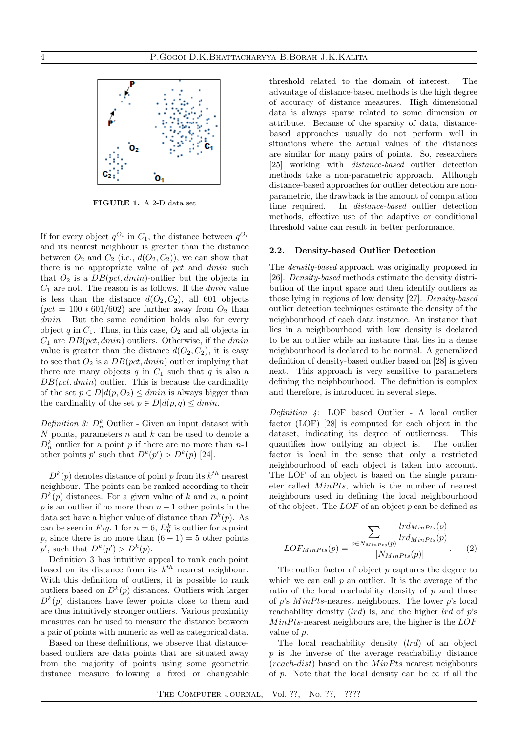

FIGURE 1. A 2-D data set

If for every object  $q^{O_i}$  in  $C_1$ , the distance between  $q^{O_i}$ and its nearest neighbour is greater than the distance between  $O_2$  and  $C_2$  (i.e.,  $d(O_2, C_2)$ ), we can show that there is no appropriate value of *pct* and *dmin* such that  $O_2$  is a  $DB(pct, dmin)$ -outlier but the objects in *C*<sup>1</sup> are not. The reason is as follows. If the *dmin* value is less than the distance  $d(O_2, C_2)$ , all 601 objects  $(pct = 100 * 601/602)$  are further away from  $O<sub>2</sub>$  than *dmin*. But the same condition holds also for every object  $q$  in  $C_1$ . Thus, in this case,  $O_2$  and all objects in *C*<sup>1</sup> are *DB*(*pct, dmin*) outliers. Otherwise, if the *dmin* value is greater than the distance  $d(O_2, C_2)$ , it is easy to see that  $O_2$  is a  $DB(pct, dmin)$  outlier implying that there are many objects  $q$  in  $C_1$  such that  $q$  is also a *DB*(*pct, dmin*) outlier. This is because the cardinality of the set  $p \in D | d(p, O_2) \leq dmin$  is always bigger than the cardinality of the set  $p \in D | d(p, q) \leq dmin$ .

*Definition 3:*  $D_n^k$  Outlier - Given an input dataset with *N* points, parameters *n* and *k* can be used to denote a  $D_n^k$  outlier for a point *p* if there are no more than *n*-1 other points  $p'$  such that  $D^k(p') > D^k(p)$  [24].

 $D^{k}(p)$  denotes distance of point *p* from its  $k^{th}$  nearest neighbour. The points can be ranked according to their  $D^{k}(p)$  distances. For a given value of *k* and *n*, a point *p* is an outlier if no more than  $n-1$  other points in the data set have a higher value of distance than  $D^k(p)$ . As can be seen in *Fig.* 1 for  $n = 6$ ,  $D_6^k$  is outlier for a point *p*, since there is no more than  $(6 - 1) = 5$  other points  $p'$ , such that  $D^k(p') > D^k(p)$ .

Definition 3 has intuitive appeal to rank each point based on its distance from its *kth* nearest neighbour. With this definition of outliers, it is possible to rank outliers based on  $D^k(p)$  distances. Outliers with larger  $D^{k}(p)$  distances have fewer points close to them and are thus intuitively stronger outliers. Various proximity measures can be used to measure the distance between a pair of points with numeric as well as categorical data.

Based on these definitions, we observe that distancebased outliers are data points that are situated away from the majority of points using some geometric distance measure following a fixed or changeable threshold related to the domain of interest. The advantage of distance-based methods is the high degree of accuracy of distance measures. High dimensional data is always sparse related to some dimension or attribute. Because of the sparsity of data, distancebased approaches usually do not perform well in situations where the actual values of the distances are similar for many pairs of points. So, researchers [25] working with *distance-based* outlier detection methods take a non-parametric approach. Although distance-based approaches for outlier detection are nonparametric, the drawback is the amount of computation time required. In *distance-based* outlier detection methods, effective use of the adaptive or conditional threshold value can result in better performance.

#### 2.2. Density-based Outlier Detection

The *density-based* approach was originally proposed in [26]. *Density-based* methods estimate the density distribution of the input space and then identify outliers as those lying in regions of low density [27]. *Density-based* outlier detection techniques estimate the density of the neighbourhood of each data instance. An instance that lies in a neighbourhood with low density is declared to be an outlier while an instance that lies in a dense neighbourhood is declared to be normal. A generalized definition of density-based outlier based on [28] is given next. This approach is very sensitive to parameters defining the neighbourhood. The definition is complex and therefore, is introduced in several steps.

*Definition 4:* LOF based Outlier - A local outlier factor (LOF) [28] is computed for each object in the dataset, indicating its degree of outlierness. This quantifies how outlying an object is. The outlier factor is local in the sense that only a restricted neighbourhood of each object is taken into account. The LOF of an object is based on the single parameter called *M*inPts, which is the number of nearest neighbours used in defining the local neighbourhood of the object. The *LOF* of an object *p* can be defined as

$$
LOF_{MinPts}(p) = \frac{\sum_{o \in N_{MinPts}(p)} \frac{lrd_{MinPts}(o)}{lrd_{MinPts}(p)}}{|N_{MinPts}(p)|}.
$$
 (2)

The outlier factor of object *p* captures the degree to which we can call  $p$  an outlier. It is the average of the ratio of the local reachability density of *p* and those of *p*'s *M inP ts*-nearest neighbours. The lower *p*'s local reachability density (*lrd*) is, and the higher *lrd* of *p*'s *M inP ts*-nearest neighbours are, the higher is the *LOF* value of *p*.

The local reachability density (*lrd*) of an object *p* is the inverse of the average reachability distance (*reach-dist*) based on the *MinPts* nearest neighbours of *p*. Note that the local density can be  $\infty$  if all the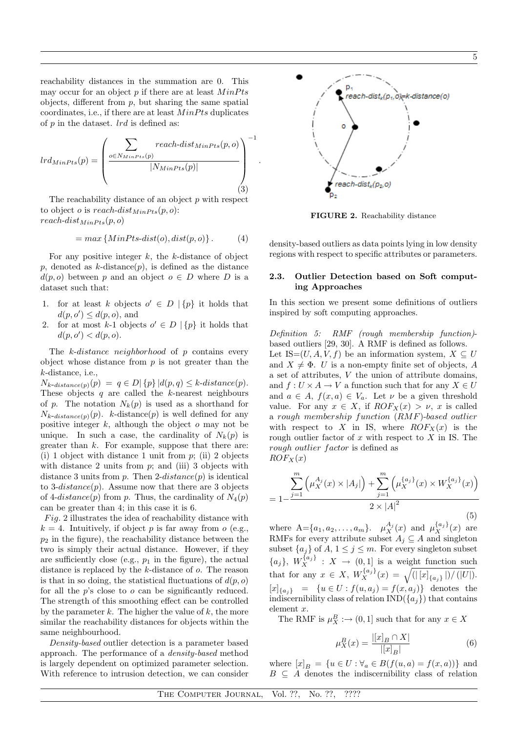reachability distances in the summation are 0. This may occur for an object *p* if there are at least  $MinPts$ objects, different from *p*, but sharing the same spatial coordinates, i.e., if there are at least *M inP ts* duplicates of *p* in the dataset. *lrd* is defined as:

$$
lrd_{MinPts}(p) = \left(\frac{\sum_{o \in N_{MinPts}(p)} reach\text{-}dist_{MinPts}(p, o)}{|N_{MinPts}(p)|}\right)^{-1}
$$
\n(3)

The reachability distance of an object *p* with respect to object *o* is *reach-dist*<sub>*MinPts*</sub> $(p, o)$ :  $reach\text{-}dist_{MinPts}(p, o)$ 

$$
= max \{MinPts\text{-}dist(o), dist(p, o)\}.
$$
 (4)

For any positive integer *k*, the *k*-distance of object  $p$ , denoted as  $k$ -distance $(p)$ , is defined as the distance  $d(p, o)$  between *p* and an object  $o \in D$  where *D* is a dataset such that:

- 1. for at least *k* objects  $o' \in D \setminus \{p\}$  it holds that  $d(p, o') \leq d(p, o)$ , and
- 2. for at most *k*-1 objects  $o' \in D \mid \{p\}$  it holds that  $d(p, o') < d(p, o).$

The *k*-*distance neighborhood* of *p* contains every object whose distance from *p* is not greater than the *k*-distance, i.e.,

 $N_{k\text{-}distance}(p)(p) = q \in D \mid \{p\} | d(p,q) \leq k\text{-}distance(p).$ These objects *q* are called the *k*-nearest neighbours of *p*. The notation  $N_k(p)$  is used as a shorthand for  $N_{k-distance(p)}(p)$ . *k*-distance(*p*) is well defined for any positive integer *k*, although the object *o* may not be unique. In such a case, the cardinality of  $N_k(p)$  is greater than *k*. For example, suppose that there are: (i) 1 object with distance 1 unit from *p*; (ii) 2 objects with distance 2 units from *p*; and (iii) 3 objects with distance 3 units from *p*. Then 2-*distance*(*p*) is identical to 3-*distance*(*p*). Assume now that there are 3 objects of 4-*distance*(*p*) from *p*. Thus, the cardinality of  $N_4(p)$ can be greater than 4; in this case it is 6.

*F ig.* 2 illustrates the idea of reachability distance with  $k = 4$ . Intuitively, if object *p* is far away from *o* (e.g.,  $p_2$  in the figure), the reachability distance between the two is simply their actual distance. However, if they are sufficiently close (e.g.,  $p_1$  in the figure), the actual distance is replaced by the *k*-distance of *o*. The reason is that in so doing, the statistical fluctuations of  $d(p, o)$ for all the *p*'s close to *o* can be significantly reduced. The strength of this smoothing effect can be controlled by the parameter *k*. The higher the value of *k*, the more similar the reachability distances for objects within the same neighbourhood.

*Density-based* outlier detection is a parameter based approach. The performance of a *density-based* method is largely dependent on optimized parameter selection. With reference to intrusion detection, we can consider



FIGURE 2. Reachability distance

density-based outliers as data points lying in low density regions with respect to specific attributes or parameters.

# 2.3. Outlier Detection based on Soft computing Approaches

In this section we present some definitions of outliers inspired by soft computing approaches.

*Definition 5: RMF (rough membership function)* based outliers [29, 30]. A RMF is defined as follows. Let IS= $(U, A, V, f)$  be an information system,  $X \subseteq U$ and  $X \neq \Phi$ . *U* is a non-empty finite set of objects, *A* a set of attributes, *V* the union of attribute domains, and  $f: U \times A \rightarrow V$  a function such that for any  $X \in U$ and  $a \in A$ ,  $f(x, a) \in V_a$ . Let  $\nu$  be a given threshold value. For any  $x \in X$ , if  $ROF_X(x) > \nu$ , *x* is called a *rough membership function* (*RMF*)-*based outlier* with respect to *X* in IS, where  $ROF_X(x)$  is the rough outlier factor of *x* with respect to *X* in IS. The *rough outlier f actor* is defined as  $ROF_X(x)$ 

$$
=1-\frac{\sum_{j=1}^{m} (\mu_X^{A_j}(x) \times |A_j|) + \sum_{j=1}^{m} (\mu_X^{\{a_j\}}(x) \times W_X^{\{a_j\}}(x))}{2 \times |A|^2}
$$
(5)

where  $A = \{a_1, a_2, \ldots, a_m\}$ .  $\mu_X^{A_j}(x)$  and  $\mu_X^{\{a_j\}}(x)$  are RMFs for every attribute subset  $A_j \subseteq A$  and singleton subset  $\{a_j\}$  of  $A, 1 \leq j \leq m$ . For every singleton subset  ${a_j}$ ,  $W_X^{\{a_j\}}$  :  $X \rightarrow (0,1]$  is a weight function such that for any  $x \in X$ ,  $W_X^{\{a_j\}}(x) = \sqrt{(|[x]_{\{a_j\}}|)/(|U|)}}$ .  $[x]_{\{a_i\}} = \{u \in U : f(u, a_j) = f(x, a_j)\}\$  denotes the indiscernibility class of relation  $IND({a_i})$  that contains element *x*.

The RMF is  $\mu_X^B := (0, 1]$  such that for any  $x \in X$ 

$$
\mu_X^B(x) = \frac{|[x]_B \cap X|}{|[x]_B|}
$$
\n(6)

where  $[x]_B = \{u \in U : \forall a \in B(f(u, a) = f(x, a))\}$  and  $B \subseteq A$  denotes the indiscernibility class of relation

*.*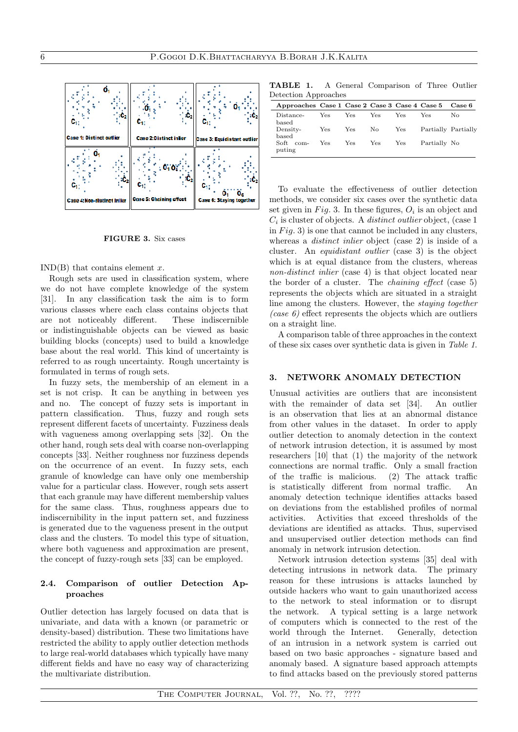

FIGURE 3. Six cases

IND(B) that contains element *x*.

Rough sets are used in classification system, where we do not have complete knowledge of the system [31]. In any classification task the aim is to form various classes where each class contains objects that are not noticeably different. These indiscernible or indistinguishable objects can be viewed as basic building blocks (concepts) used to build a knowledge base about the real world. This kind of uncertainty is referred to as rough uncertainty. Rough uncertainty is formulated in terms of rough sets.

In fuzzy sets, the membership of an element in a set is not crisp. It can be anything in between yes and no. The concept of fuzzy sets is important in pattern classification. Thus, fuzzy and rough sets represent different facets of uncertainty. Fuzziness deals with vagueness among overlapping sets [32]. On the other hand, rough sets deal with coarse non-overlapping concepts [33]. Neither roughness nor fuzziness depends on the occurrence of an event. In fuzzy sets, each granule of knowledge can have only one membership value for a particular class. However, rough sets assert that each granule may have different membership values for the same class. Thus, roughness appears due to indiscernibility in the input pattern set, and fuzziness is generated due to the vagueness present in the output class and the clusters. To model this type of situation, where both vagueness and approximation are present, the concept of fuzzy-rough sets [33] can be employed.

# 2.4. Comparison of outlier Detection Approaches

Outlier detection has largely focused on data that is univariate, and data with a known (or parametric or density-based) distribution. These two limitations have restricted the ability to apply outlier detection methods to large real-world databases which typically have many different fields and have no easy way of characterizing the multivariate distribution.

TABLE 1. A General Comparison of Three Outlier Detection Approaches

| Approaches Case 1 Case 2 Case 3 Case 4 Case 5 |            |      |     |            |                     | <b>Case 6</b> |
|-----------------------------------------------|------------|------|-----|------------|---------------------|---------------|
| Distance-<br>based                            | Yes        | Yes. | Yes | <b>Yes</b> | Yes                 | No            |
| Density-<br>based                             | <b>Yes</b> | Yes  | No. | Yes        | Partially Partially |               |
| Soft com-<br>puting                           | Yes        | Yes  | Yes | Yes        | Partially No        |               |

To evaluate the effectiveness of outlier detection methods, we consider six cases over the synthetic data set given in  $Fig. 3$ . In these figures,  $O_i$  is an object and *C<sup>i</sup>* is cluster of objects. A *distinct outlier* object, (case 1 in *Fig.* 3) is one that cannot be included in any clusters, whereas a *distinct inlier* object (case 2) is inside of a cluster. An *equidistant outlier* (case 3) is the object which is at equal distance from the clusters, whereas *non-distinct inlier* (case 4) is that object located near the border of a cluster. The *chaining e*ff*ect* (case 5) represents the objects which are situated in a straight line among the clusters. However, the *staying together (case 6)* effect represents the objects which are outliers on a straight line.

A comparison table of three approaches in the context of these six cases over synthetic data is given in *Table 1*.

## 3. NETWORK ANOMALY DETECTION

Unusual activities are outliers that are inconsistent with the remainder of data set [34]. An outlier is an observation that lies at an abnormal distance from other values in the dataset. In order to apply outlier detection to anomaly detection in the context of network intrusion detection, it is assumed by most researchers [10] that (1) the majority of the network connections are normal traffic. Only a small fraction of the traffic is malicious. (2) The attack traffic is statistically different from normal traffic. An anomaly detection technique identifies attacks based on deviations from the established profiles of normal activities. Activities that exceed thresholds of the deviations are identified as attacks. Thus, supervised and unsupervised outlier detection methods can find anomaly in network intrusion detection.

Network intrusion detection systems [35] deal with detecting intrusions in network data. The primary reason for these intrusions is attacks launched by outside hackers who want to gain unauthorized access to the network to steal information or to disrupt the network. A typical setting is a large network of computers which is connected to the rest of the world through the Internet. Generally, detection of an intrusion in a network system is carried out based on two basic approaches - signature based and anomaly based. A signature based approach attempts to find attacks based on the previously stored patterns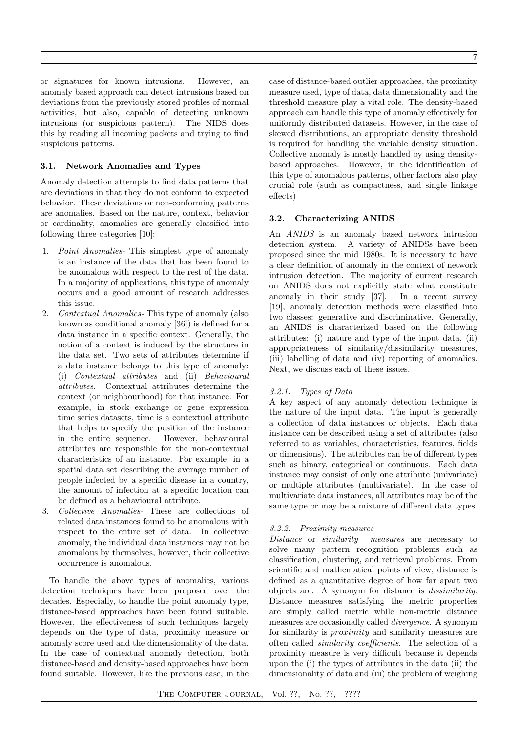or signatures for known intrusions. However, an anomaly based approach can detect intrusions based on deviations from the previously stored profiles of normal activities, but also, capable of detecting unknown intrusions (or suspicious pattern). The NIDS does this by reading all incoming packets and trying to find suspicious patterns.

# 3.1. Network Anomalies and Types

Anomaly detection attempts to find data patterns that are deviations in that they do not conform to expected behavior. These deviations or non-conforming patterns are anomalies. Based on the nature, context, behavior or cardinality, anomalies are generally classified into following three categories [10]:

- 1. *Point Anomalies-* This simplest type of anomaly is an instance of the data that has been found to be anomalous with respect to the rest of the data. In a majority of applications, this type of anomaly occurs and a good amount of research addresses this issue.
- 2. *Contextual Anomalies-* This type of anomaly (also known as conditional anomaly [36]) is defined for a data instance in a specific context. Generally, the notion of a context is induced by the structure in the data set. Two sets of attributes determine if a data instance belongs to this type of anomaly: (i) *Contextual attributes* and (ii) *Behavioural attributes*. Contextual attributes determine the context (or neighbourhood) for that instance. For example, in stock exchange or gene expression time series datasets, time is a contextual attribute that helps to specify the position of the instance in the entire sequence. However, behavioural attributes are responsible for the non-contextual characteristics of an instance. For example, in a spatial data set describing the average number of people infected by a specific disease in a country, the amount of infection at a specific location can be defined as a behavioural attribute.
- 3. *Collective Anomalies-* These are collections of related data instances found to be anomalous with respect to the entire set of data. In collective anomaly, the individual data instances may not be anomalous by themselves, however, their collective occurrence is anomalous.

To handle the above types of anomalies, various detection techniques have been proposed over the decades. Especially, to handle the point anomaly type, distance-based approaches have been found suitable. However, the effectiveness of such techniques largely depends on the type of data, proximity measure or anomaly score used and the dimensionality of the data. In the case of contextual anomaly detection, both distance-based and density-based approaches have been found suitable. However, like the previous case, in the

case of distance-based outlier approaches, the proximity measure used, type of data, data dimensionality and the threshold measure play a vital role. The density-based approach can handle this type of anomaly effectively for uniformly distributed datasets. However, in the case of skewed distributions, an appropriate density threshold is required for handling the variable density situation. Collective anomaly is mostly handled by using densitybased approaches. However, in the identification of this type of anomalous patterns, other factors also play crucial role (such as compactness, and single linkage effects)

# 3.2. Characterizing ANIDS

An *ANIDS* is an anomaly based network intrusion detection system. A variety of ANIDSs have been proposed since the mid 1980s. It is necessary to have a clear definition of anomaly in the context of network intrusion detection. The majority of current research on ANIDS does not explicitly state what constitute anomaly in their study [37]. In a recent survey [19], anomaly detection methods were classified into two classes: generative and discriminative. Generally, an ANIDS is characterized based on the following attributes: (i) nature and type of the input data, (ii) appropriateness of similarity/dissimilarity measures, (iii) labelling of data and (iv) reporting of anomalies. Next, we discuss each of these issues.

# *3.2.1. Types of Data*

A key aspect of any anomaly detection technique is the nature of the input data. The input is generally a collection of data instances or objects. Each data instance can be described using a set of attributes (also referred to as variables, characteristics, features, fields or dimensions). The attributes can be of different types such as binary, categorical or continuous. Each data instance may consist of only one attribute (univariate) or multiple attributes (multivariate). In the case of multivariate data instances, all attributes may be of the same type or may be a mixture of different data types.

# *3.2.2. Proximity measures*

*Distance* or *similarity measures* are necessary to solve many pattern recognition problems such as classification, clustering, and retrieval problems. From scientific and mathematical points of view, distance is defined as a quantitative degree of how far apart two objects are. A synonym for distance is *dissimilarity*. Distance measures satisfying the metric properties are simply called metric while non-metric distance measures are occasionally called *divergence*. A synonym for similarity is *proximity* and similarity measures are often called *similarity coe*ffi*cients*. The selection of a proximity measure is very difficult because it depends upon the (i) the types of attributes in the data (ii) the dimensionality of data and (iii) the problem of weighing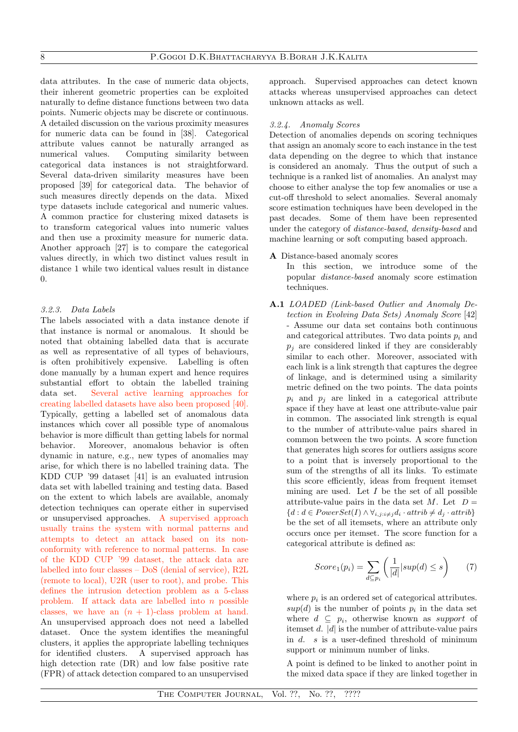data attributes. In the case of numeric data objects, their inherent geometric properties can be exploited naturally to define distance functions between two data points. Numeric objects may be discrete or continuous. A detailed discussion on the various proximity measures for numeric data can be found in [38]. Categorical attribute values cannot be naturally arranged as numerical values. Computing similarity between categorical data instances is not straightforward. Several data-driven similarity measures have been proposed [39] for categorical data. The behavior of such measures directly depends on the data. Mixed type datasets include categorical and numeric values. A common practice for clustering mixed datasets is to transform categorical values into numeric values and then use a proximity measure for numeric data. Another approach [27] is to compare the categorical values directly, in which two distinct values result in distance 1 while two identical values result in distance  $\theta$ .

# *3.2.3. Data Labels*

The labels associated with a data instance denote if that instance is normal or anomalous. It should be noted that obtaining labelled data that is accurate as well as representative of all types of behaviours, is often prohibitively expensive. Labelling is often done manually by a human expert and hence requires substantial effort to obtain the labelled training data set. Several active learning approaches for creating labelled datasets have also been proposed [40]. Typically, getting a labelled set of anomalous data instances which cover all possible type of anomalous behavior is more difficult than getting labels for normal behavior. Moreover, anomalous behavior is often dynamic in nature, e.g., new types of anomalies may arise, for which there is no labelled training data. The KDD CUP '99 dataset [41] is an evaluated intrusion data set with labelled training and testing data. Based on the extent to which labels are available, anomaly detection techniques can operate either in supervised or unsupervised approaches. A supervised approach usually trains the system with normal patterns and attempts to detect an attack based on its nonconformity with reference to normal patterns. In case of the KDD CUP '99 dataset, the attack data are labelled into four classes – DoS (denial of service), R2L (remote to local), U2R (user to root), and probe. This defines the intrusion detection problem as a 5-class problem. If attack data are labelled into *n* possible classes, we have an  $(n + 1)$ -class problem at hand. An unsupervised approach does not need a labelled dataset. Once the system identifies the meaningful clusters, it applies the appropriate labelling techniques for identified clusters. A supervised approach has high detection rate (DR) and low false positive rate (FPR) of attack detection compared to an unsupervised

approach. Supervised approaches can detect known attacks whereas unsupervised approaches can detect unknown attacks as well.

# *3.2.4. Anomaly Scores*

Detection of anomalies depends on scoring techniques that assign an anomaly score to each instance in the test data depending on the degree to which that instance is considered an anomaly. Thus the output of such a technique is a ranked list of anomalies. An analyst may choose to either analyse the top few anomalies or use a cut-off threshold to select anomalies. Several anomaly score estimation techniques have been developed in the past decades. Some of them have been represented under the category of *distance-based*, *density-based* and machine learning or soft computing based approach.

# A Distance-based anomaly scores

In this section, we introduce some of the popular *distance-based* anomaly score estimation techniques.

A.1 *LOADED (Link-based Outlier and Anomaly Detection in Evolving Data Sets) Anomaly Score* [42] - Assume our data set contains both continuous and categorical attributes. Two data points  $p_i$  and  $p_i$  are considered linked if they are considerably similar to each other. Moreover, associated with each link is a link strength that captures the degree of linkage, and is determined using a similarity metric defined on the two points. The data points  $p_i$  and  $p_j$  are linked in a categorical attribute space if they have at least one attribute-value pair in common. The associated link strength is equal to the number of attribute-value pairs shared in common between the two points. A score function that generates high scores for outliers assigns score to a point that is inversely proportional to the sum of the strengths of all its links. To estimate this score efficiently, ideas from frequent itemset mining are used. Let *I* be the set of all possible attribute-value pairs in the data set  $M$ . Let  $D =$  ${d : d \in PowerSet(I) \land \forall_{i,j : i \neq j} d_i \cdot attrib \neq d_j \cdot attrib}$ be the set of all itemsets, where an attribute only occurs once per itemset. The score function for a categorical attribute is defined as:

$$
Score_1(p_i) = \sum_{d \subseteq p_i} \left( \frac{1}{|d|} |sup(d) \le s \right) \qquad (7)
$$

where  $p_i$  is an ordered set of categorical attributes.  $sup(d)$  is the number of points  $p_i$  in the data set where  $d \subseteq p_i$ , otherwise known as *support* of itemset *d*. *|d|* is the number of attribute-value pairs in *d*. *s* is a user-defined threshold of minimum support or minimum number of links.

A point is defined to be linked to another point in the mixed data space if they are linked together in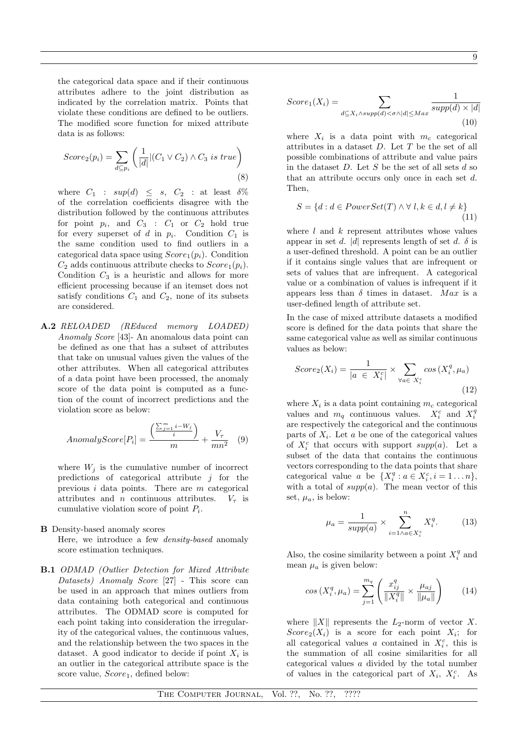the categorical data space and if their continuous attributes adhere to the joint distribution as indicated by the correlation matrix. Points that violate these conditions are defined to be outliers. The modified score function for mixed attribute data is as follows:

$$
Score_2(p_i) = \sum_{d \subseteq p_i} \left( \frac{1}{|d|} |(C_1 \vee C_2) \wedge C_3 \text{ is true} \right)
$$
\n
$$
(8)
$$

where  $C_1$  :  $sup(d) \leq s$ ,  $C_2$  : at least  $\delta$ % of the correlation coefficients disagree with the distribution followed by the continuous attributes for point  $p_i$ , and  $C_3$  :  $C_1$  or  $C_2$  hold true for every superset of  $d$  in  $p_i$ . Condition  $C_1$  is the same condition used to find outliers in a categorical data space using  $Score_1(p_i)$ . Condition  $C_2$  adds continuous attribute checks to  $Score_1(p_i)$ . Condition  $C_3$  is a heuristic and allows for more efficient processing because if an itemset does not satisfy conditions  $C_1$  and  $C_2$ , none of its subsets are considered.

A.2 *RELOADED (REduced memory LOADED) Anomaly Score* [43]- An anomalous data point can be defined as one that has a subset of attributes that take on unusual values given the values of the other attributes. When all categorical attributes of a data point have been processed, the anomaly score of the data point is computed as a function of the count of incorrect predictions and the violation score as below:

$$
AnomalyScore[P_i] = \frac{\left(\frac{\sum_{j=1}^{m} i - W_j}{i}\right)}{m} + \frac{V_{\tau}}{mn^2} \quad (9)
$$

where  $W_i$  is the cumulative number of incorrect predictions of categorical attribute *j* for the previous *i* data points. There are *m* categorical attributes and *n* continuous attributes.  $V_{\tau}$  is cumulative violation score of point *Pi*.

## B Density-based anomaly scores

Here, we introduce a few *density-based* anomaly score estimation techniques.

B.1 *ODMAD (Outlier Detection for Mixed Attribute Datasets) Anomaly Score* [27] - This score can be used in an approach that mines outliers from data containing both categorical and continuous attributes. The ODMAD score is computed for each point taking into consideration the irregularity of the categorical values, the continuous values, and the relationship between the two spaces in the dataset. A good indicator to decide if point  $X_i$  is an outlier in the categorical attribute space is the score value, *Score*1, defined below:

$$
Score_1(X_i) = \sum_{d \subseteq X_i \land supp(d) < \sigma \land |d| \leq Max} \frac{1}{supp(d) \times |d|} \tag{10}
$$

where  $X_i$  is a data point with  $m_c$  categorical attributes in a dataset *D*. Let *T* be the set of all possible combinations of attribute and value pairs in the dataset *D*. Let *S* be the set of all sets *d* so that an attribute occurs only once in each set *d*. Then,

$$
S = \{d : d \in PowerSet(T) \land \forall l, k \in d, l \neq k\}
$$
\n
$$
(11)
$$

where *l* and *k* represent attributes whose values appear in set *d*. |*d*| represents length of set *d*.  $\delta$  is a user-defined threshold. A point can be an outlier if it contains single values that are infrequent or sets of values that are infrequent. A categorical value or a combination of values is infrequent if it appears less than  $\delta$  times in dataset. *Max* is a user-defined length of attribute set.

In the case of mixed attribute datasets a modified score is defined for the data points that share the same categorical value as well as similar continuous values as below:

$$
Score_2(X_i) = \frac{1}{|a \in X_i^c|} \times \sum_{\forall a \in X_i^c} cos(X_i^q, \mu_a)
$$
\n(12)

where  $X_i$  is a data point containing  $m_c$  categorical values and  $m_q$  continuous values.  $X_i^c$  and  $X_i^q$ are respectively the categorical and the continuous parts of  $X_i$ . Let  $a$  be one of the categorical values of  $X_i^c$  that occurs with support  $supp(a)$ . Let a subset of the data that contains the continuous vectors corresponding to the data points that share categorical value *a* be  $\{X_i^q : a \in X_i^c, i = 1 \dots n\}$ , with a total of  $supp(a)$ . The mean vector of this set,  $\mu_a$ , is below:

$$
\mu_a = \frac{1}{\sup p(a)} \times \sum_{i=1 \wedge a \in X_i^c}^n X_i^q. \tag{13}
$$

Also, the cosine similarity between a point  $X_i^q$  and mean  $\mu_a$  is given below:

$$
\cos\left(X_i^q, \mu_a\right) = \sum_{j=1}^{m_q} \left(\frac{x_{ij}^q}{\|X_i^q\|} \times \frac{\mu_{aj}}{\|\mu_a\|}\right) \tag{14}
$$

where  $||X||$  represents the  $L_2$ -norm of vector X. *Score*<sub>2</sub>( $X_i$ ) is a score for each point  $X_i$ ; for all categorical values *a* contained in  $X_i^c$ , this is the summation of all cosine similarities for all categorical values *a* divided by the total number of values in the categorical part of  $X_i$ ,  $X_i^c$ . As

THE COMPUTER JOURNAL, Vol. ??, No. ??, ????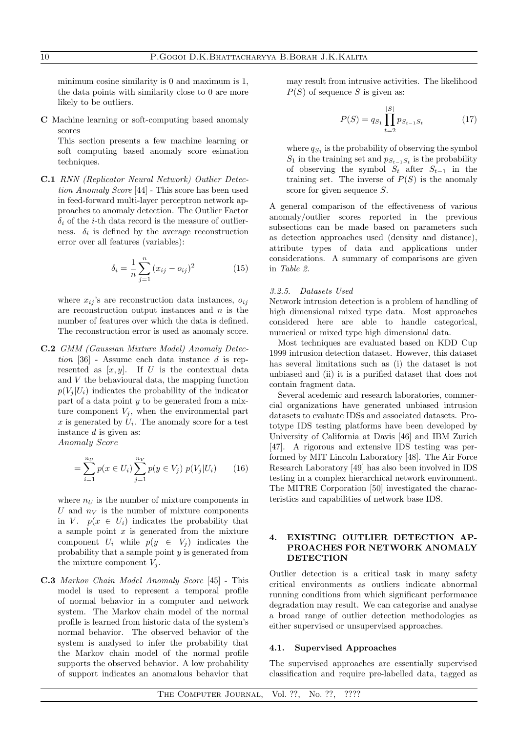minimum cosine similarity is 0 and maximum is 1, the data points with similarity close to 0 are more likely to be outliers.

C Machine learning or soft-computing based anomaly scores

This section presents a few machine learning or soft computing based anomaly score esimation techniques.

C.1 *RNN (Replicator Neural Network) Outlier Detection Anomaly Score* [44] - This score has been used in feed-forward multi-layer perceptron network approaches to anomaly detection. The Outlier Factor  $\delta_i$  of the *i*-th data record is the measure of outlierness.  $\delta_i$  is defined by the average reconstruction error over all features (variables):

$$
\delta_i = \frac{1}{n} \sum_{j=1}^{n} (x_{ij} - o_{ij})^2
$$
 (15)

where  $x_{ij}$ 's are reconstruction data instances,  $o_{ij}$ are reconstruction output instances and *n* is the number of features over which the data is defined. The reconstruction error is used as anomaly score.

C.2 *GMM (Gaussian Mixture Model) Anomaly Detection* [36] - Assume each data instance *d* is represented as  $[x, y]$ . If *U* is the contextual data and *V* the behavioural data, the mapping function  $p(V_i|U_i)$  indicates the probability of the indicator part of a data point *y* to be generated from a mixture component  $V_i$ , when the environmental part  $x$  is generated by  $U_i$ . The anomaly score for a test instance *d* is given as:

*Anomaly Score*

$$
= \sum_{i=1}^{n_U} p(x \in U_i) \sum_{j=1}^{n_V} p(y \in V_j) p(V_j | U_i)
$$
 (16)

where  $n_U$  is the number of mixture components in *U* and  $n_V$  is the number of mixture components in *V*.  $p(x \in U_i)$  indicates the probability that a sample point *x* is generated from the mixture component  $U_i$  while  $p(y \in V_j)$  indicates the probability that a sample point *y* is generated from the mixture component  $V_j$ .

C.3 *Markov Chain Model Anomaly Score* [45] - This model is used to represent a temporal profile of normal behavior in a computer and network system. The Markov chain model of the normal profile is learned from historic data of the system's normal behavior. The observed behavior of the system is analysed to infer the probability that the Markov chain model of the normal profile supports the observed behavior. A low probability of support indicates an anomalous behavior that may result from intrusive activities. The likelihood *P*(*S*) of sequence *S* is given as:

$$
P(S) = q_{S_1} \prod_{t=2}^{|S|} p_{S_{t-1}S_t}
$$
 (17)

where  $q_{S_1}$  is the probability of observing the symbol  $S_1$  in the training set and  $p_{S_{t-1},S_t}$  is the probability of observing the symbol  $S_t$  after  $S_{t-1}$  in the training set. The inverse of  $P(S)$  is the anomaly score for given sequence *S*.

A general comparison of the effectiveness of various anomaly/outlier scores reported in the previous subsections can be made based on parameters such as detection approaches used (density and distance), attribute types of data and applications under considerations. A summary of comparisons are given in *Table 2*.

## *3.2.5. Datasets Used*

Network intrusion detection is a problem of handling of high dimensional mixed type data. Most approaches considered here are able to handle categorical, numerical or mixed type high dimensional data.

Most techniques are evaluated based on KDD Cup 1999 intrusion detection dataset. However, this dataset has several limitations such as (i) the dataset is not unbiased and (ii) it is a purified dataset that does not contain fragment data.

Several acedemic and research laboratories, commercial organizations have generated unbiased intrusion datasets to evaluate IDSs and associated datasets. Prototype IDS testing platforms have been developed by University of California at Davis [46] and IBM Zurich [47]. A rigorous and extensive IDS testing was performed by MIT Lincoln Laboratory [48]. The Air Force Research Laboratory [49] has also been involved in IDS testing in a complex hierarchical network environment. The MITRE Corporation [50] investigated the characteristics and capabilities of network base IDS.

# 4. EXISTING OUTLIER DETECTION AP-PROACHES FOR NETWORK ANOMALY **DETECTION**

Outlier detection is a critical task in many safety critical environments as outliers indicate abnormal running conditions from which significant performance degradation may result. We can categorise and analyse a broad range of outlier detection methodologies as either supervised or unsupervised approaches.

#### 4.1. Supervised Approaches

The supervised approaches are essentially supervised classification and require pre-labelled data, tagged as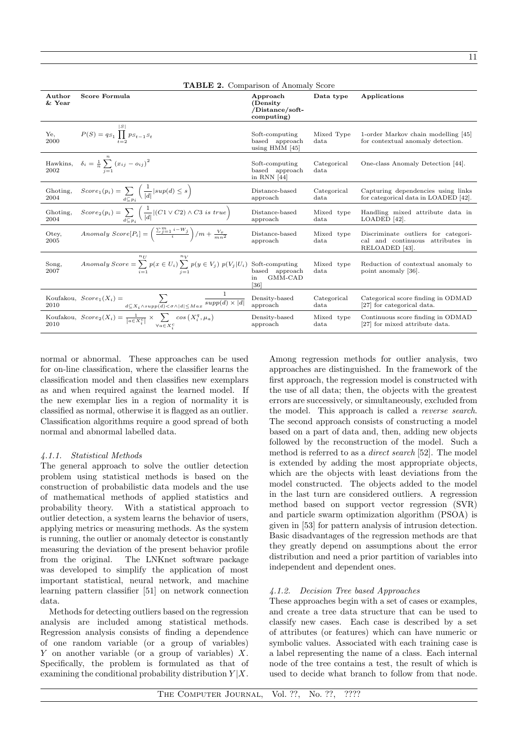| <b>TABLE 2.</b> Comparison of Anomaly Score |                                                                                                                                     |                                                       |                              |                                                                                           |  |  |  |
|---------------------------------------------|-------------------------------------------------------------------------------------------------------------------------------------|-------------------------------------------------------|------------------------------|-------------------------------------------------------------------------------------------|--|--|--|
| Author<br>& Year                            | Score Formula                                                                                                                       | Approach<br>(Density<br>/Distance/soft-<br>computing) | Data type                    | Applications                                                                              |  |  |  |
| Ye,<br>2000                                 | $P(S) = q_{S_1} \prod_{t=2}^{ \mathcal{P} } p_{S_{t-1} S_t}$                                                                        | Soft-computing<br>based approach<br>using HMM [45]    | Mixed Type<br>data           | 1-order Markov chain modelling [45]<br>for contextual anomaly detection.                  |  |  |  |
| Hawkins,<br>2002                            | $\delta_i = \frac{1}{n} \sum_{i=1}^{n} (x_{ij} - a_{ij})^2$                                                                         | Soft-computing<br>based approach<br>in RNN $[44]$     | Categorical<br>data          | One-class Anomaly Detection [44].                                                         |  |  |  |
| Ghoting,<br>2004                            | $Score_1(p_i) = \sum_{d \subset p_i} \left( \frac{1}{ d }  sup(d) \leq s \right)$                                                   | Distance-based<br>approach                            | Categorical<br>$_{\rm data}$ | Capturing dependencies using links<br>for categorical data in LOADED [42].                |  |  |  |
| Ghoting,<br>2004                            | $Score_2(p_i) = \sum_{d \subset n_i} \left( \frac{1}{ d }  (C1 \vee C2) \wedge C3 \text{ is true} \right)$                          | Distance-based<br>approach                            | Mixed type<br>$_{\rm data}$  | Handling mixed attribute data in<br>LOADED [42].                                          |  |  |  |
| Otey,<br>2005                               | Anomaly $Score[P_i] = \left(\frac{\sum_{j=1}^{m} i - W_j}{i}\right) / m + \frac{V_{\tau}}{mn^2}$                                    | Distance-based<br>approach                            | Mixed type<br>data           | Discriminate outliers for categori-<br>cal and continuous attributes in<br>RELOADED [43]. |  |  |  |
| Song,<br>2007                               | $n_{II}$<br>Anomaly Score = $\sum_{i=1}^{n} p(x \in U_i) \sum_{i=1}^{n} p(y \in V_j) p(V_j   U_i)$ Soft-computing<br>based approach | based approach<br>GMM-CAD<br>in<br>[36]               | Mixed type<br>data           | Reduction of contextual anomaly to<br>point anomaly [36].                                 |  |  |  |
|                                             | Koufakou, $Score_1(X_i) = \sum_{d \subseteq X_i \wedge supp(d) < \sigma \wedge  d  \leq Max} \frac{1}{supp(d) \times  d }$          | Density-based<br>approach                             | Categorical<br>data          | Categorical score finding in ODMAD<br>[27] for categorical data.                          |  |  |  |
|                                             | Koufakou, $Score_2(X_i) = \frac{1}{ a \in X_i^c } \times \sum_{\forall a \in X_i^c} cos(X_i^q, \mu_a)$                              | Density-based<br>approach                             | Mixed type<br>$_{\rm data}$  | Continuous score finding in ODMAD<br>[27] for mixed attribute data.                       |  |  |  |

normal or abnormal. These approaches can be used for on-line classification, where the classifier learns the classification model and then classifies new exemplars as and when required against the learned model. If the new exemplar lies in a region of normality it is classified as normal, otherwise it is flagged as an outlier. Classification algorithms require a good spread of both normal and abnormal labelled data.

# *4.1.1. Statistical Methods*

The general approach to solve the outlier detection problem using statistical methods is based on the construction of probabilistic data models and the use of mathematical methods of applied statistics and probability theory. With a statistical approach to outlier detection, a system learns the behavior of users, applying metrics or measuring methods. As the system is running, the outlier or anomaly detector is constantly measuring the deviation of the present behavior profile from the original. The LNKnet software package was developed to simplify the application of most important statistical, neural network, and machine learning pattern classifier [51] on network connection data.

Methods for detecting outliers based on the regression analysis are included among statistical methods. Regression analysis consists of finding a dependence of one random variable (or a group of variables) *Y* on another variable (or a group of variables) *X*. Specifically, the problem is formulated as that of examining the conditional probability distribution *Y |X*.

Among regression methods for outlier analysis, two approaches are distinguished. In the framework of the first approach, the regression model is constructed with the use of all data; then, the objects with the greatest errors are successively, or simultaneously, excluded from the model. This approach is called a *reverse search*. The second approach consists of constructing a model based on a part of data and, then, adding new objects followed by the reconstruction of the model. Such a method is referred to as a *direct search* [52]. The model is extended by adding the most appropriate objects, which are the objects with least deviations from the model constructed. The objects added to the model in the last turn are considered outliers. A regression method based on support vector regression (SVR) and particle swarm optimization algorithm (PSOA) is given in [53] for pattern analysis of intrusion detection. Basic disadvantages of the regression methods are that they greatly depend on assumptions about the error distribution and need a prior partition of variables into independent and dependent ones.

# *4.1.2. Decision Tree based Approaches*

These approaches begin with a set of cases or examples, and create a tree data structure that can be used to classify new cases. Each case is described by a set of attributes (or features) which can have numeric or symbolic values. Associated with each training case is a label representing the name of a class. Each internal node of the tree contains a test, the result of which is used to decide what branch to follow from that node.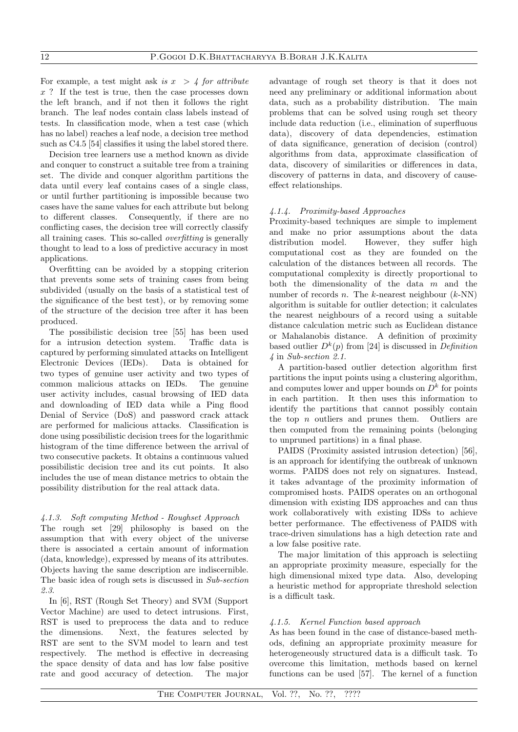For example, a test might ask *is*  $x > 4$  *for attribute x* ? If the test is true, then the case processes down the left branch, and if not then it follows the right branch. The leaf nodes contain class labels instead of tests. In classification mode, when a test case (which has no label) reaches a leaf node, a decision tree method such as C4.5 [54] classifies it using the label stored there.

Decision tree learners use a method known as divide and conquer to construct a suitable tree from a training set. The divide and conquer algorithm partitions the data until every leaf contains cases of a single class, or until further partitioning is impossible because two cases have the same values for each attribute but belong to different classes. Consequently, if there are no conflicting cases, the decision tree will correctly classify all training cases. This so-called *overfitting* is generally thought to lead to a loss of predictive accuracy in most applications.

Overfitting can be avoided by a stopping criterion that prevents some sets of training cases from being subdivided (usually on the basis of a statistical test of the significance of the best test), or by removing some of the structure of the decision tree after it has been produced.

The possibilistic decision tree [55] has been used for a intrusion detection system. Traffic data is captured by performing simulated attacks on Intelligent Electronic Devices (IEDs). Data is obtained for two types of genuine user activity and two types of common malicious attacks on IEDs. The genuine user activity includes, casual browsing of IED data and downloading of IED data while a Ping flood Denial of Service (DoS) and password crack attack are performed for malicious attacks. Classification is done using possibilistic decision trees for the logarithmic histogram of the time difference between the arrival of two consecutive packets. It obtains a continuous valued possibilistic decision tree and its cut points. It also includes the use of mean distance metrics to obtain the possibility distribution for the real attack data.

## *4.1.3. Soft computing Method - Roughset Approach*

The rough set [29] philosophy is based on the assumption that with every object of the universe there is associated a certain amount of information (data, knowledge), expressed by means of its attributes. Objects having the same description are indiscernible. The basic idea of rough sets is discussed in *Sub-section 2.3*.

In [6], RST (Rough Set Theory) and SVM (Support Vector Machine) are used to detect intrusions. First, RST is used to preprocess the data and to reduce the dimensions. Next, the features selected by RST are sent to the SVM model to learn and test respectively. The method is effective in decreasing the space density of data and has low false positive rate and good accuracy of detection. The major advantage of rough set theory is that it does not need any preliminary or additional information about data, such as a probability distribution. The main problems that can be solved using rough set theory include data reduction (i.e., elimination of superfluous data), discovery of data dependencies, estimation of data significance, generation of decision (control) algorithms from data, approximate classification of data, discovery of similarities or differences in data, discovery of patterns in data, and discovery of causeeffect relationships.

## *4.1.4. Proximity-based Approaches*

Proximity-based techniques are simple to implement and make no prior assumptions about the data distribution model. However, they suffer high computational cost as they are founded on the calculation of the distances between all records. The computational complexity is directly proportional to both the dimensionality of the data *m* and the number of records *n*. The *k*-nearest neighbour (*k*-NN) algorithm is suitable for outlier detection; it calculates the nearest neighbours of a record using a suitable distance calculation metric such as Euclidean distance or Mahalanobis distance. A definition of proximity based outlier  $D^k(p)$  from [24] is discussed in *Definition 4* in *Sub-section 2.1*.

A partition-based outlier detection algorithm first partitions the input points using a clustering algorithm, and computes lower and upper bounds on  $D^k$  for points in each partition. It then uses this information to identify the partitions that cannot possibly contain the top *n* outliers and prunes them. Outliers are then computed from the remaining points (belonging to unpruned partitions) in a final phase.

PAIDS (Proximity assisted intrusion detection) [56], is an approach for identifying the outbreak of unknown worms. PAIDS does not rely on signatures. Instead, it takes advantage of the proximity information of compromised hosts. PAIDS operates on an orthogonal dimension with existing IDS approaches and can thus work collaboratively with existing IDSs to achieve better performance. The effectiveness of PAIDS with trace-driven simulations has a high detection rate and a low false positive rate.

The major limitation of this approach is selectiing an appropriate proximity measure, especially for the high dimensional mixed type data. Also, developing a heuristic method for appropriate threshold selection is a difficult task.

# *4.1.5. Kernel Function based approach*

As has been found in the case of distance-based methods, defining an appropriate proximity measure for heterogeneously structured data is a difficult task. To overcome this limitation, methods based on kernel functions can be used [57]. The kernel of a function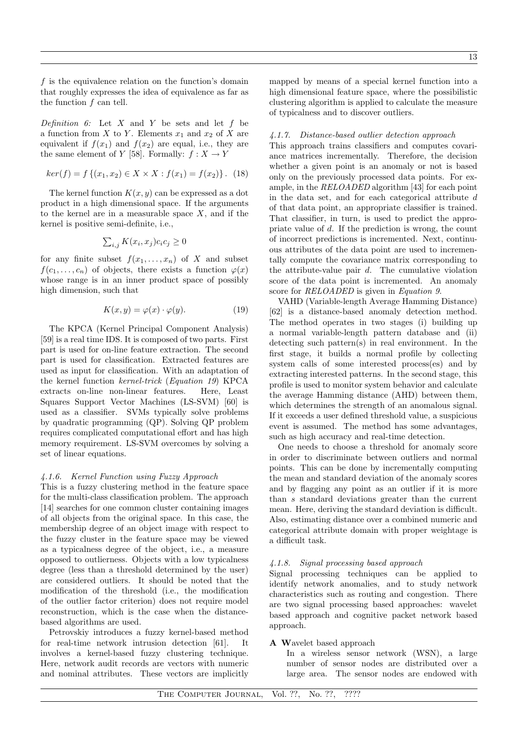*f* is the equivalence relation on the function's domain that roughly expresses the idea of equivalence as far as the function *f* can tell.

*Definition 6:* Let *X* and *Y* be sets and let *f* be a function from *X* to *Y*. Elements  $x_1$  and  $x_2$  of *X* are equivalent if  $f(x_1)$  and  $f(x_2)$  are equal, i.e., they are the same element of *Y* [58]. Formally:  $f: X \to Y$ 

$$
ker(f) = f\{(x_1, x_2) \in X \times X : f(x_1) = f(x_2)\}.
$$
 (18)

The kernel function *K*(*x, y*) can be expressed as a dot product in a high dimensional space. If the arguments to the kernel are in a measurable space *X*, and if the kernel is positive semi-definite, i.e.,

$$
\textstyle\sum_{i,j} K(x_i,x_j) c_i c_j \geq 0
$$

for any finite subset  $f(x_1, \ldots, x_n)$  of X and subset  $f(c_1, \ldots, c_n)$  of objects, there exists a function  $\varphi(x)$ whose range is in an inner product space of possibly high dimension, such that

$$
K(x, y) = \varphi(x) \cdot \varphi(y). \tag{19}
$$

The KPCA (Kernel Principal Component Analysis) [59] is a real time IDS. It is composed of two parts. First part is used for on-line feature extraction. The second part is used for classification. Extracted features are used as input for classification. With an adaptation of the kernel function *kernel-trick* (*Equation 19*) KPCA extracts on-line non-linear features. Here, Least Squares Support Vector Machines (LS-SVM) [60] is used as a classifier. SVMs typically solve problems by quadratic programming (QP). Solving QP problem requires complicated computational effort and has high memory requirement. LS-SVM overcomes by solving a set of linear equations.

# *4.1.6. Kernel Function using Fuzzy Approach*

This is a fuzzy clustering method in the feature space for the multi-class classification problem. The approach [14] searches for one common cluster containing images of all objects from the original space. In this case, the membership degree of an object image with respect to the fuzzy cluster in the feature space may be viewed as a typicalness degree of the object, i.e., a measure opposed to outlierness. Objects with a low typicalness degree (less than a threshold determined by the user) are considered outliers. It should be noted that the modification of the threshold (i.e., the modification of the outlier factor criterion) does not require model reconstruction, which is the case when the distancebased algorithms are used.

Petrovskiy introduces a fuzzy kernel-based method for real-time network intrusion detection [61]. It involves a kernel-based fuzzy clustering technique. Here, network audit records are vectors with numeric and nominal attributes. These vectors are implicitly mapped by means of a special kernel function into a high dimensional feature space, where the possibilistic clustering algorithm is applied to calculate the measure of typicalness and to discover outliers.

## *4.1.7. Distance-based outlier detection approach*

This approach trains classifiers and computes covariance matrices incrementally. Therefore, the decision whether a given point is an anomaly or not is based only on the previously processed data points. For example, in the *RELOADED* algorithm [43] for each point in the data set, and for each categorical attribute *d* of that data point, an appropriate classifier is trained. That classifier, in turn, is used to predict the appropriate value of *d*. If the prediction is wrong, the count of incorrect predictions is incremented. Next, continuous attributes of the data point are used to incrementally compute the covariance matrix corresponding to the attribute-value pair *d*. The cumulative violation score of the data point is incremented. An anomaly score for *RELOADED* is given in *Equation 9*.

VAHD (Variable-length Average Hamming Distance) [62] is a distance-based anomaly detection method. The method operates in two stages (i) building up a normal variable-length pattern database and (ii) detecting such pattern(s) in real environment. In the first stage, it builds a normal profile by collecting system calls of some interested process(es) and by extracting interested patterns. In the second stage, this profile is used to monitor system behavior and calculate the average Hamming distance (AHD) between them, which determines the strength of an anomalous signal. If it exceeds a user defined threshold value, a suspicious event is assumed. The method has some advantages, such as high accuracy and real-time detection.

One needs to choose a threshold for anomaly score in order to discriminate between outliers and normal points. This can be done by incrementally computing the mean and standard deviation of the anomaly scores and by flagging any point as an outlier if it is more than *s* standard deviations greater than the current mean. Here, deriving the standard deviation is difficult. Also, estimating distance over a combined numeric and categorical attribute domain with proper weightage is a difficult task.

## *4.1.8. Signal processing based approach*

Signal processing techniques can be applied to identify network anomalies, and to study network characteristics such as routing and congestion. There are two signal processing based approaches: wavelet based approach and cognitive packet network based approach.

# A Wavelet based approach

In a wireless sensor network (WSN), a large number of sensor nodes are distributed over a large area. The sensor nodes are endowed with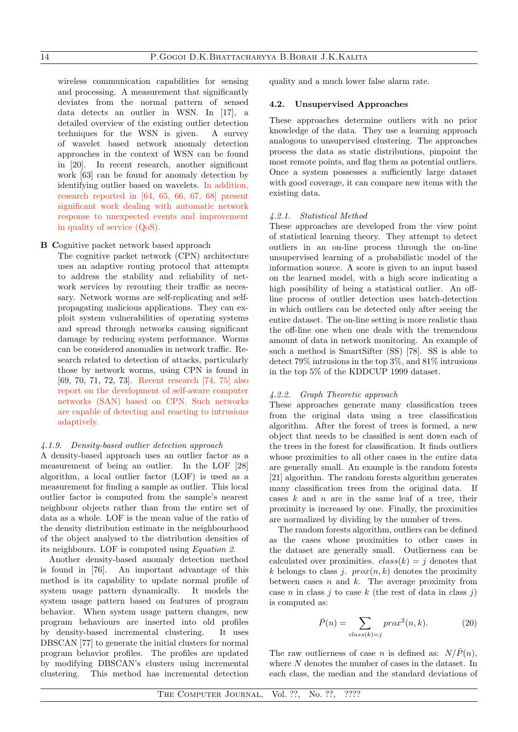wireless communication capabilities for sensing and processing. A measurement that significantly deviates from the normal pattern of sensed data detects an outlier in WSN. In [17], a detailed overview of the existing outlier detection techniques for the WSN is given. A survey of wavelet based network anomaly detection approaches in the context of WSN can be found in [20]. In recent research, another significant work [63] can be found for anomaly detection by identifying outlier based on wavelets. In addition, research reported in [64, 65, 66, 67, 68] present significant work dealing with automatic network response to unexpected events and improvement in quality of service (QoS).

B Cognitive packet network based approach

The cognitive packet network (CPN) architecture uses an adaptive routing protocol that attempts to address the stability and reliability of network services by rerouting their traffic as necessary. Network worms are self-replicating and selfpropagating malicious applications. They can exploit system vulnerabilities of operating systems and spread through networks causing significant damage by reducing system performance. Worms can be considered anomalies in network traffic. Research related to detection of attacks, particularly those by network worms, using CPN is found in [69, 70, 71, 72, 73]. Recent research [74, 75] also report on the development of self-aware computer networks (SAN) based on CPN. Such networks are capable of detecting and reacting to intrusions adaptively.

## *4.1.9. Density-based outlier detection approach*

A density-based approach uses an outlier factor as a measurement of being an outlier. In the LOF [28] algorithm, a local outlier factor (LOF) is used as a measurement for finding a sample as outlier. This local outlier factor is computed from the sample's nearest neighbour objects rather than from the entire set of data as a whole. LOF is the mean value of the ratio of the density distribution estimate in the neighbourhood of the object analysed to the distribution densities of its neighbours. LOF is computed using *Equation 2*.

Another density-based anomaly detection method is found in [76]. An important advantage of this method is its capability to update normal profile of system usage pattern dynamically. It models the system usage pattern based on features of program behavior. When system usage pattern changes, new program behaviours are inserted into old profiles by density-based incremental clustering. It uses DBSCAN [77] to generate the initial clusters for normal program behavior profiles. The profiles are updated by modifying DBSCAN's clusters using incremental clustering. This method has incremental detection

quality and a much lower false alarm rate.

#### 4.2. Unsupervised Approaches

These approaches determine outliers with no prior knowledge of the data. They use a learning approach analogous to unsupervised clustering. The approaches process the data as static distributions, pinpoint the most remote points, and flag them as potential outliers. Once a system possesses a sufficiently large dataset with good coverage, it can compare new items with the existing data.

#### *4.2.1. Statistical Method*

These approaches are developed from the view point of statistical learning theory. They attempt to detect outliers in an on-line process through the on-line unsupervised learning of a probabilistic model of the information source. A score is given to an input based on the learned model, with a high score indicating a high possibility of being a statistical outlier. An offline process of outlier detection uses batch-detection in which outliers can be detected only after seeing the entire dataset. The on-line setting is more realistic than the off-line one when one deals with the tremendous amount of data in network monitoring. An example of such a method is SmartSifter (SS) [78]. SS is able to detect 79% intrusions in the top 3%, and 81% intrusions in the top 5% of the KDDCUP 1999 dataset.

## *4.2.2. Graph Theoretic approach*

These approaches generate many classification trees from the original data using a tree classification algorithm. After the forest of trees is formed, a new object that needs to be classified is sent down each of the trees in the forest for classification. It finds outliers whose proximities to all other cases in the entire data are generally small. An example is the random forests [21] algorithm. The random forests algorithm generates many classification trees from the original data. If cases *k* and *n* are in the same leaf of a tree, their proximity is increased by one. Finally, the proximities are normalized by dividing by the number of trees.

The random forests algorithm, outliers can be defined as the cases whose proximities to other cases in the dataset are generally small. Outlierness can be calculated over proximities.  $class(k) = i$  denotes that  $k$  belongs to class *j.*  $prox(n, k)$  denotes the proximity between cases *n* and *k*. The average proximity from case *n* in class *j* to case *k* (the rest of data in class *j*) is computed as:

$$
\bar{P}(n) = \sum_{class(k)=j} prox^2(n,k).
$$
 (20)

The raw outlierness of case *n* is defined as:  $N/\overline{P}(n)$ , where *N* denotes the number of cases in the dataset. In each class, the median and the standard deviations of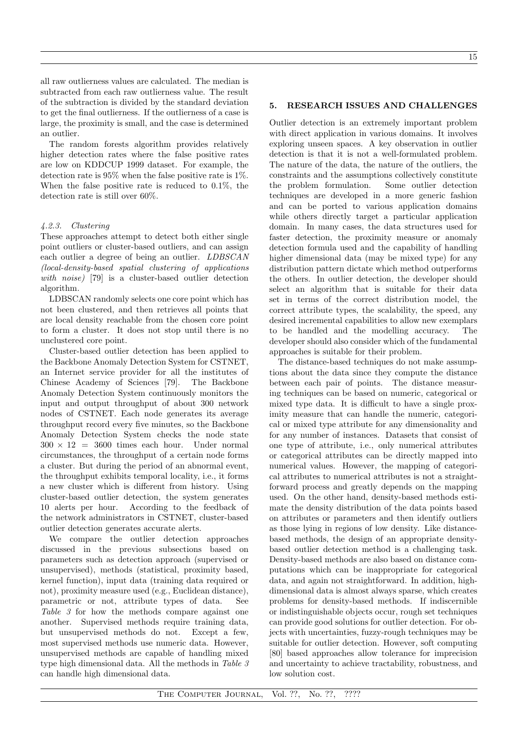all raw outlierness values are calculated. The median is subtracted from each raw outlierness value. The result of the subtraction is divided by the standard deviation to get the final outlierness. If the outlierness of a case is large, the proximity is small, and the case is determined an outlier.

The random forests algorithm provides relatively higher detection rates where the false positive rates are low on KDDCUP 1999 dataset. For example, the detection rate is 95% when the false positive rate is 1%. When the false positive rate is reduced to 0.1%, the detection rate is still over 60%.

## *4.2.3. Clustering*

These approaches attempt to detect both either single point outliers or cluster-based outliers, and can assign each outlier a degree of being an outlier. *LDBSCAN (local-density-based spatial clustering of applications with noise)* [79] is a cluster-based outlier detection algorithm.

LDBSCAN randomly selects one core point which has not been clustered, and then retrieves all points that are local density reachable from the chosen core point to form a cluster. It does not stop until there is no unclustered core point.

Cluster-based outlier detection has been applied to the Backbone Anomaly Detection System for CSTNET, an Internet service provider for all the institutes of Chinese Academy of Sciences [79]. The Backbone Anomaly Detection System continuously monitors the input and output throughput of about 300 network nodes of CSTNET. Each node generates its average throughput record every five minutes, so the Backbone Anomaly Detection System checks the node state  $300 \times 12 = 3600$  times each hour. Under normal circumstances, the throughput of a certain node forms a cluster. But during the period of an abnormal event, the throughput exhibits temporal locality, i.e., it forms a new cluster which is different from history. Using cluster-based outlier detection, the system generates 10 alerts per hour. According to the feedback of the network administrators in CSTNET, cluster-based outlier detection generates accurate alerts.

We compare the outlier detection approaches discussed in the previous subsections based on parameters such as detection approach (supervised or unsupervised), methods (statistical, proximity based, kernel function), input data (training data required or not), proximity measure used (e.g., Euclidean distance), parametric or not, attribute types of data. See *Table 3* for how the methods compare against one another. Supervised methods require training data, but unsupervised methods do not. Except a few, most supervised methods use numeric data. However, unsupervised methods are capable of handling mixed type high dimensional data. All the methods in *Table 3* can handle high dimensional data.

## 5. RESEARCH ISSUES AND CHALLENGES

Outlier detection is an extremely important problem with direct application in various domains. It involves exploring unseen spaces. A key observation in outlier detection is that it is not a well-formulated problem. The nature of the data, the nature of the outliers, the constraints and the assumptions collectively constitute the problem formulation. Some outlier detection techniques are developed in a more generic fashion and can be ported to various application domains while others directly target a particular application domain. In many cases, the data structures used for faster detection, the proximity measure or anomaly detection formula used and the capability of handling higher dimensional data (may be mixed type) for any distribution pattern dictate which method outperforms the others. In outlier detection, the developer should select an algorithm that is suitable for their data set in terms of the correct distribution model, the correct attribute types, the scalability, the speed, any desired incremental capabilities to allow new exemplars to be handled and the modelling accuracy. The developer should also consider which of the fundamental approaches is suitable for their problem.

The distance-based techniques do not make assumptions about the data since they compute the distance between each pair of points. The distance measuring techniques can be based on numeric, categorical or mixed type data. It is difficult to have a single proximity measure that can handle the numeric, categorical or mixed type attribute for any dimensionality and for any number of instances. Datasets that consist of one type of attribute, i.e., only numerical attributes or categorical attributes can be directly mapped into numerical values. However, the mapping of categorical attributes to numerical attributes is not a straightforward process and greatly depends on the mapping used. On the other hand, density-based methods estimate the density distribution of the data points based on attributes or parameters and then identify outliers as those lying in regions of low density. Like distancebased methods, the design of an appropriate densitybased outlier detection method is a challenging task. Density-based methods are also based on distance computations which can be inappropriate for categorical data, and again not straightforward. In addition, highdimensional data is almost always sparse, which creates problems for density-based methods. If indiscernible or indistinguishable objects occur, rough set techniques can provide good solutions for outlier detection. For objects with uncertainties, fuzzy-rough techniques may be suitable for outlier detection. However, soft computing [80] based approaches allow tolerance for imprecision and uncertainty to achieve tractability, robustness, and low solution cost.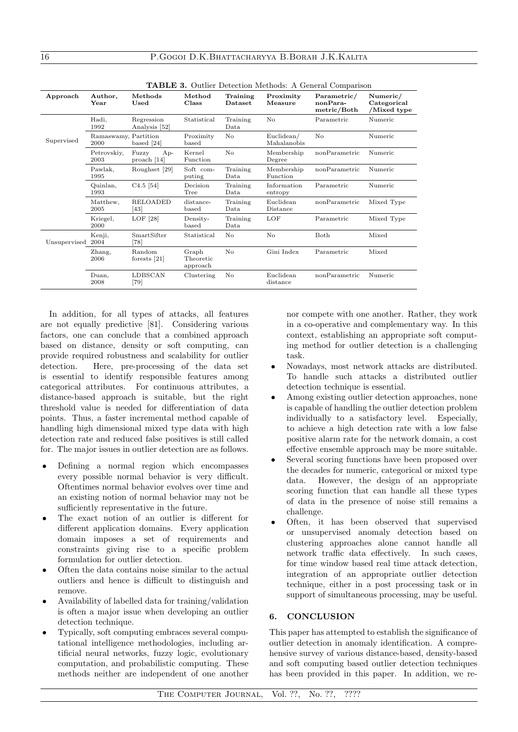| <b>TADLE 3.</b> Outlier Detection methods. A General Comparison |                              |                                 |                                |                            |                           |                                        |                                        |
|-----------------------------------------------------------------|------------------------------|---------------------------------|--------------------------------|----------------------------|---------------------------|----------------------------------------|----------------------------------------|
| Approach                                                        | Author,<br>Year              | Methods<br>Used                 | Method<br>Class                | Training<br><b>Dataset</b> | Proximity<br>Measure      | Parametric/<br>nonPara-<br>metric/Both | Numeric/<br>Categorical<br>/Mixed type |
|                                                                 | Hadi,<br>1992                | Regression<br>Analysis [52]     | Statistical                    | Training<br>Data           | No                        | Parametric                             | Numeric                                |
| Supervised                                                      | Ramaswamy, Partition<br>2000 | based $[24]$                    | Proximity<br>$_{\text{based}}$ | No.                        | Euclidean/<br>Mahalanobis | No                                     | Numeric                                |
|                                                                 | Petrovskiy,<br>2003          | $Ap-$<br>Fuzzy<br>proach $[14]$ | Kernel<br>Function             | No                         | Membership<br>Degree      | nonParametric                          | Numeric                                |
|                                                                 | Pawlak,<br>1995              | Roughset [29]                   | Soft com-<br>puting            | Training<br>Data           | Membership<br>Function    | nonParametric                          | Numeric                                |
|                                                                 | Quinlan,<br>1993             | $C4.5$ [54]                     | Decision<br>Tree               | Training<br>Data           | Information<br>entropy    | Parametric                             | Numeric                                |
|                                                                 | Matthew,<br>2005             | <b>RELOADED</b><br>[43]         | distance-<br>$_{\text{based}}$ | Training<br>Data           | Euclidean<br>Distance     | nonParametric                          | Mixed Type                             |
|                                                                 | Kriegel,<br>2000             | LOF $[28]$                      | Density-<br>$_{\text{based}}$  | Training<br>Data           | LOF                       | Parametric                             | Mixed Type                             |
| Unsupervised 2004                                               | Kenji,                       | SmartSifter<br>[78]             | Statistical                    | No                         | No                        | <b>Both</b>                            | Mixed                                  |
|                                                                 | Zhang,<br>2006               | Random<br>forests $[21]$        | Graph<br>Theoretic<br>approach | No                         | Gini Index                | Parametric                             | Mixed                                  |
|                                                                 | Duan,<br>2008                | LDBSCAN<br>[79]                 | Clustering                     | No.                        | Euclidean<br>distance     | nonParametric                          | Numeric                                |

TABLE 2. Outlier Detection Methods: A General Compa

In addition, for all types of attacks, all features are not equally predictive [81]. Considering various factors, one can conclude that a combined approach based on distance, density or soft computing, can provide required robustness and scalability for outlier detection. Here, pre-processing of the data set is essential to identify responsible features among categorical attributes. For continuous attributes, a distance-based approach is suitable, but the right threshold value is needed for differentiation of data points. Thus, a faster incremental method capable of handling high dimensional mixed type data with high detection rate and reduced false positives is still called for. The major issues in outlier detection are as follows.

- *•* Defining a normal region which encompasses every possible normal behavior is very difficult. Oftentimes normal behavior evolves over time and an existing notion of normal behavior may not be sufficiently representative in the future.
- The exact notion of an outlier is different for different application domains. Every application domain imposes a set of requirements and constraints giving rise to a specific problem formulation for outlier detection.
- *•* Often the data contains noise similar to the actual outliers and hence is difficult to distinguish and remove.
- *•* Availability of labelled data for training/validation is often a major issue when developing an outlier detection technique.
- *•* Typically, soft computing embraces several computational intelligence methodologies, including artificial neural networks, fuzzy logic, evolutionary computation, and probabilistic computing. These methods neither are independent of one another

nor compete with one another. Rather, they work in a co-operative and complementary way. In this context, establishing an appropriate soft computing method for outlier detection is a challenging task.

- *•* Nowadays, most network attacks are distributed. To handle such attacks a distributed outlier detection technique is essential.
- *•* Among existing outlier detection approaches, none is capable of handling the outlier detection problem individually to a satisfactory level. Especially, to achieve a high detection rate with a low false positive alarm rate for the network domain, a cost effective ensemble approach may be more suitable.
- Several scoring functions have been proposed over the decades for numeric, categorical or mixed type data. However, the design of an appropriate scoring function that can handle all these types of data in the presence of noise still remains a challenge.
- Often, it has been observed that supervised or unsupervised anomaly detection based on clustering approaches alone cannot handle all network traffic data effectively. In such cases, for time window based real time attack detection, integration of an appropriate outlier detection technique, either in a post processing task or in support of simultaneous processing, may be useful.

# 6. CONCLUSION

This paper has attempted to establish the significance of outlier detection in anomaly identification. A comprehensive survey of various distance-based, density-based and soft computing based outlier detection techniques has been provided in this paper. In addition, we re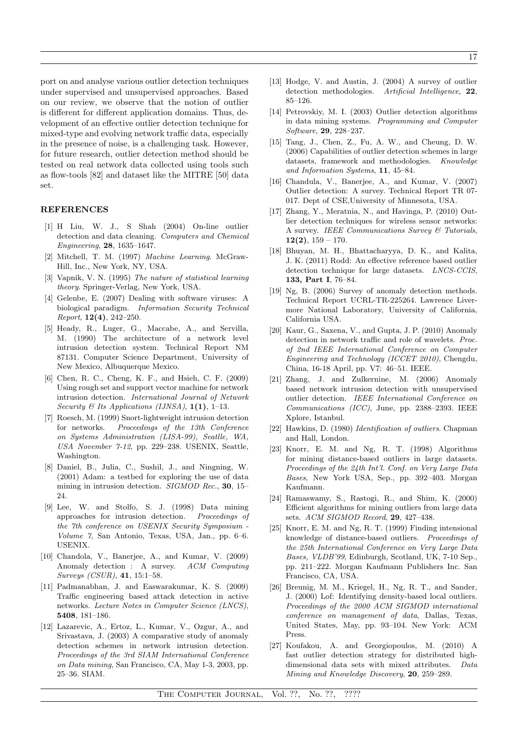port on and analyse various outlier detection techniques under supervised and unsupervised approaches. Based on our review, we observe that the notion of outlier is different for different application domains. Thus, development of an effective outlier detection technique for mixed-type and evolving network traffic data, especially in the presence of noise, is a challenging task. However, for future research, outlier detection method should be tested on real network data collected using tools such as flow-tools [82] and dataset like the MITRE [50] data set.

## REFERENCES

- [1] H Liu, W. J., S Shah (2004) On-line outlier detection and data cleaning. *Computers and Chemical Engineering*, 28, 1635–1647.
- [2] Mitchell, T. M. (1997) *Machine Learning*. McGraw-Hill, Inc., New York, NY, USA.
- [3] Vapnik, V. N. (1995) *The nature of statistical learning theory*. Springer-Verlag, New York, USA.
- [4] Gelenbe, E. (2007) Dealing with software viruses: A biological paradigm. *Information Security Technical Report*, 12(4), 242–250.
- [5] Heady, R., Luger, G., Maccabe, A., and Servilla, M. (1990) The architecture of a network level intrusion detection system. Technical Report NM 87131. Computer Science Department, University of New Mexico, Albuquerque Mexico.
- [6] Chen, R. C., Cheng, K. F., and Hsieh, C. F. (2009) Using rough set and support vector machine for network intrusion detection. *International Journal of Network Security & Its Applications (IJNSA)*,  $1(1)$ ,  $1-13$ .
- [7] Roesch, M. (1999) Snort-lightweight intrusion detection for networks. *Proceedings of the 13th Conference on Systems Administration (LISA-99), Seatlle, WA, USA November 7-12*, pp. 229–238. USENIX, Seattle, Washington.
- [8] Daniel, B., Julia, C., Sushil, J., and Ningning, W. (2001) Adam: a testbed for exploring the use of data mining in intrusion detection. *SIGMOD Rec.*, 30, 15– 24.
- [9] Lee, W. and Stolfo, S. J. (1998) Data mining approaches for intrusion detection. *Proceedings of the 7th conference on USENIX Security Symposium - Volume 7*, San Antonio, Texas, USA, Jan., pp. 6–6. USENIX.
- [10] Chandola, V., Banerjee, A., and Kumar, V. (2009) Anomaly detection : A survey. *ACM Computing Surveys (CSUR)*, 41, 15:1–58.
- [11] Padmanabhan, J. and Easwarakumar, K. S. (2009) Traffic engineering based attack detection in active networks. *Lecture Notes in Computer Science (LNCS)*, 5408, 181–186.
- [12] Lazarevic, A., Ertoz, L., Kumar, V., Ozgur, A., and Srivastava, J. (2003) A comparative study of anomaly detection schemes in network intrusion detection. *Proceedings of the 3rd SIAM International Conference on Data mining*, San Francisco, CA, May 1-3, 2003, pp. 25–36. SIAM.
- [13] Hodge, V. and Austin, J. (2004) A survey of outlier detection methodologies. *Artificial Intelligence*, 22, 85–126.
- [14] Petrovskiy, M. I. (2003) Outlier detection algorithms in data mining systems. *Programming and Computer Software*, 29, 228–237.
- [15] Tang, J., Chen, Z., Fu, A. W., and Cheung, D. W. (2006) Capabilities of outlier detection schemes in large datasets, framework and methodologies. *Knowledge and Information Systems*, 11, 45–84.
- [16] Chandula, V., Banerjee, A., and Kumar, V. (2007) Outlier detection: A survey. Technical Report TR 07- 017. Dept of CSE,University of Minnesota, USA.
- [17] Zhang, Y., Meratnia, N., and Havinga, P. (2010) Outlier detection techniques for wireless sensor networks: A survey. *IEEE Communications Survey & Tutorials*,  $12(2)$ ,  $159 - 170$ .
- [18] Bhuyan, M. H., Bhattacharyya, D. K., and Kalita, J. K. (2011) Rodd: An effective reference based outlier detection technique for large datasets. *LNCS-CCIS*, 133, Part I, 76–84.
- [19] Ng, B. (2006) Survey of anomaly detection methods. Technical Report UCRL-TR-225264. Lawrence Livermore National Laboratory, University of California, California USA.
- [20] Kaur, G., Saxena, V., and Gupta, J. P. (2010) Anomaly detection in network traffic and role of wavelets. *Proc. of 2nd IEEE International Conference on Computer Engineering and Technology (ICCET 2010)*, Chengdu, China, 16-18 April, pp. V7: 46–51. IEEE.
- [21] Zhang, J. and Zulkernine, M. (2006) Anomaly based network intrusion detection with unsupervised outlier detection. *IEEE International Conference on Communications (ICC)*, June, pp. 2388–2393. IEEE Xplore, Istanbul.
- [22] Hawkins, D. (1980) *Identification of outliers*. Chapman and Hall, London.
- [23] Knorr, E. M. and Ng, R. T. (1998) Algorithms for mining distance-based outliers in large datasets. *Proceedings of the 24th Int'l. Conf. on Very Large Data Bases*, New York USA, Sep., pp. 392–403. Morgan Kaufmann.
- [24] Ramaswamy, S., Rastogi, R., and Shim, K. (2000) Efficient algorithms for mining outliers from large data sets. *ACM SIGMOD Record*, 29, 427–438.
- [25] Knorr, E. M. and Ng, R. T. (1999) Finding intensional knowledge of distance-based outliers. *Proceedings of the 25th International Conference on Very Large Data Bases, VLDB'99*, Edinburgh, Scotland, UK, 7-10 Sep., pp. 211–222. Morgan Kaufmann Publishers Inc. San Francisco, CA, USA.
- [26] Breunig, M. M., Kriegel, H., Ng, R. T., and Sander, J. (2000) Lof: Identifying density-based local outliers. *Proceedings of the 2000 ACM SIGMOD international conference on management of data*, Dallas, Texas, United States, May, pp. 93–104. New York: ACM Press.
- [27] Koufakou, A. and Georgiopoulos, M. (2010) A fast outlier detection strategy for distributed highdimensional data sets with mixed attributes. *Data Mining and Knowledge Discovery*, 20, 259–289.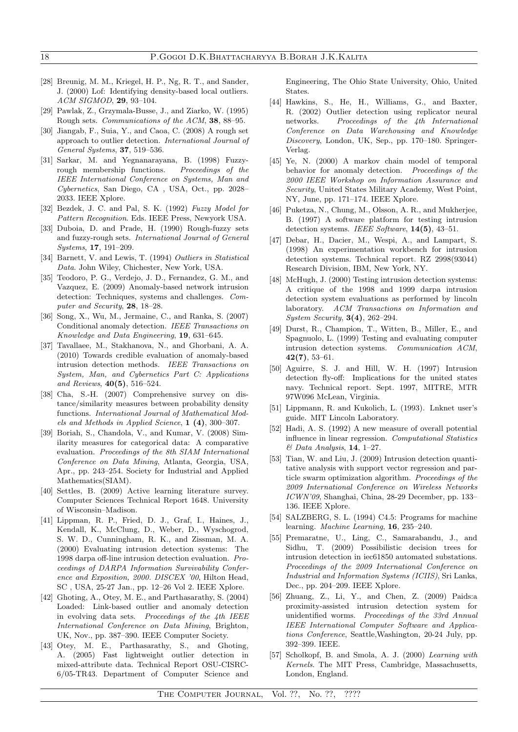- [28] Breunig, M. M., Kriegel, H. P., Ng, R. T., and Sander, J. (2000) Lof: Identifying density-based local outliers. *ACM SIGMOD*, 29, 93–104.
- [29] Pawlak, Z., Grzymala-Busse, J., and Ziarko, W. (1995) Rough sets. *Communications of the ACM*, 38, 88–95.
- [30] Jiangab, F., Suia, Y., and Caoa, C. (2008) A rough set approach to outlier detection. *International Journal of General Systems*, 37, 519–536.
- [31] Sarkar, M. and Yegnanarayana, B. (1998) Fuzzyrough membership functions. *Proceedings of the IEEE International Conference on Systems, Man and Cybernetics*, San Diego, CA , USA, Oct., pp. 2028– 2033. IEEE Xplore.
- [32] Bezdek, J. C. and Pal, S. K. (1992) *Fuzzy Model for Pattern Recognition*. Eds. IEEE Press, Newyork USA.
- [33] Duboia, D. and Prade, H. (1990) Rough-fuzzy sets and fuzzy-rough sets. *International Journal of General Systems*, 17, 191–209.
- [34] Barnett, V. and Lewis, T. (1994) *Outliers in Statistical Data*. John Wiley, Chichester, New York, USA.
- [35] Teodoro, P. G., Verdejo, J. D., Fernandez, G. M., and Vazquez, E. (2009) Anomaly-based network intrusion detection: Techniques, systems and challenges. *Computer and Security*, 28, 18–28.
- [36] Song, X., Wu, M., Jermaine, C., and Ranka, S. (2007) Conditional anomaly detection. *IEEE Transactions on Knowledge and Data Engineering*, 19, 631–645.
- [37] Tavallaee, M., Stakhanova, N., and Ghorbani, A. A. (2010) Towards credible evaluation of anomaly-based intrusion detection methods. *IEEE Transactions on System, Man, and Cybernetics Part C: Applications and Reviews*, 40(5), 516–524.
- [38] Cha, S.-H. (2007) Comprehensive survey on distance/similarity measures between probability density functions. *International Journal of Mathematical Models and Methods in Applied Science*, 1 (4), 300–307.
- [39] Boriah, S., Chandola, V., and Kumar, V. (2008) Similarity measures for categorical data: A comparative evaluation. *Proceedings of the 8th SIAM International Conference on Data Mining*, Atlanta, Georgia, USA, Apr., pp. 243–254. Society for Industrial and Applied Mathematics(SIAM).
- [40] Settles, B. (2009) Active learning literature survey. Computer Sciences Technical Report 1648. University of Wisconsin–Madison.
- [41] Lippman, R. P., Fried, D. J., Graf, I., Haines, J., Kendall, K., McClung, D., Weber, D., Wyschogrod, S. W. D., Cunningham, R. K., and Zissman, M. A. (2000) Evaluating intrusion detection systems: The 1998 darpa off-line intrusion detection evaluation. *Proceedings of DARPA Information Survivability Conference and Exposition, 2000. DISCEX '00*, Hilton Head, SC , USA, 25-27 Jan., pp. 12–26 Vol 2. IEEE Xplore.
- [42] Ghoting, A., Otev, M. E., and Parthasarathy, S. (2004) Loaded: Link-based outlier and anomaly detection in evolving data sets. *Proceedings of the 4th IEEE International Conference on Data Mining*, Brighton, UK, Nov., pp. 387–390. IEEE Computer Society.
- [43] Otey, M. E., Parthasarathy, S., and Ghoting, A. (2005) Fast lightweight outlier detection in mixed-attribute data. Technical Report OSU-CISRC-6/05-TR43. Department of Computer Science and

Engineering, The Ohio State University, Ohio, United States.

- [44] Hawkins, S., He, H., Williams, G., and Baxter, R. (2002) Outlier detection using replicator neural networks. *Proceedings of the 4th International Conference on Data Warehousing and Knowledge Discovery*, London, UK, Sep., pp. 170–180. Springer-Verlag.
- [45] Ye, N. (2000) A markov chain model of temporal behavior for anomaly detection. *Proceedings of the 2000 IEEE Workshop on Information Assurance and Security*, United States Military Academy, West Point, NY, June, pp. 171–174. IEEE Xplore.
- [46] Puketza, N., Chung, M., Olsson, A. R., and Mukherjee, B. (1997) A software platform for testing intrusion detection systems. *IEEE Software*, 14(5), 43–51.
- [47] Debar, H., Dacier, M., Wespi, A., and Lampart, S. (1998) An experimentation workbench for intrusion detection systems. Technical report. RZ 2998(93044) Research Division, IBM, New York, NY.
- [48] McHugh, J. (2000) Testing intrusion detection systems: A critique of the 1998 and 1999 darpa intrusion detection system evaluations as performed by lincoln laboratory. *ACM Transactions on Information and System Security*, 3(4), 262–294.
- [49] Durst, R., Champion, T., Witten, B., Miller, E., and Spagnuolo, L. (1999) Testing and evaluating computer intrusion detection systems. *Communication ACM*, 42(7), 53–61.
- [50] Aguirre, S. J. and Hill, W. H. (1997) Intrusion detection fly-off: Implications for the united states navy. Technical report. Sept. 1997, MITRE, MTR 97W096 McLean, Virginia.
- [51] Lippmann, R. and Kukolich, L. (1993). Lnknet user's guide. MIT Lincoln Laboratory.
- [52] Hadi, A. S. (1992) A new measure of overall potential influence in linear regression. *Computational Statistics & Data Analysis*, 14, 1–27.
- [53] Tian, W. and Liu, J. (2009) Intrusion detection quantitative analysis with support vector regression and particle swarm optimization algorithm. *Proceedings of the 2009 International Conference on Wireless Networks ICWN'09*, Shanghai, China, 28-29 December, pp. 133– 136. IEEE Xplore.
- [54] SALZBERG, S. L. (1994) C4.5: Programs for machine learning. *Machine Learning*, 16, 235–240.
- [55] Premaratne, U., Ling, C., Samarabandu, J., and Sidhu, T. (2009) Possibilistic decision trees for intrusion detection in iec61850 automated substations. *Proceedings of the 2009 International Conference on Industrial and Information Systems (ICIIS)*, Sri Lanka, Dec., pp. 204–209. IEEE Xplore.
- [56] Zhuang, Z., Li, Y., and Chen, Z. (2009) Paids:a proximity-assisted intrusion detection system for unidentified worms. *Proceedings of the 33rd Annual IEEE International Computer Software and Applications Conference*, Seattle,Washington, 20-24 July, pp. 392–399. IEEE.
- [57] Scholkopf, B. and Smola, A. J. (2000) *Learning with Kernels*. The MIT Press, Cambridge, Massachusetts, London, England.